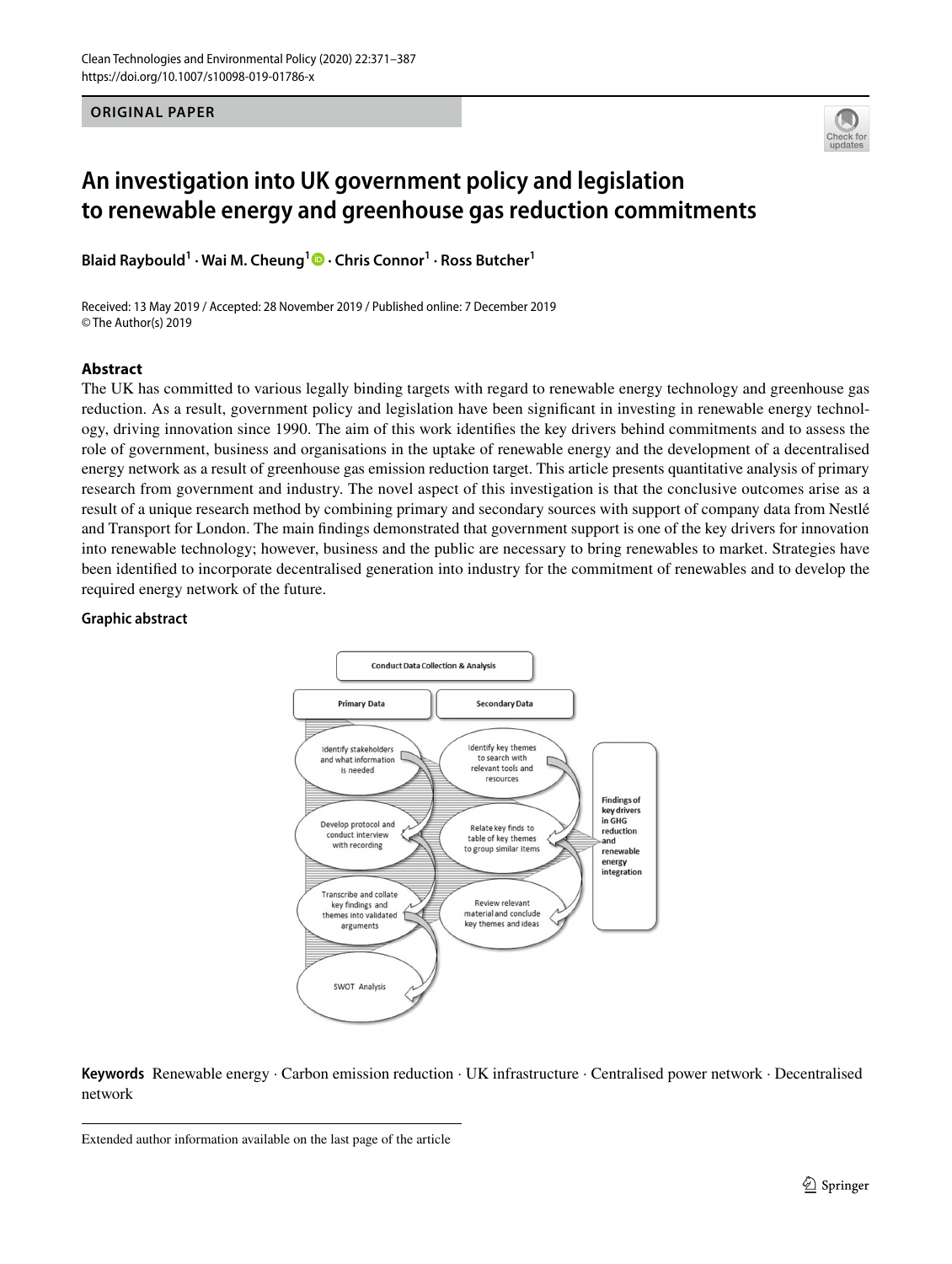**ORIGINAL PAPER**



# **An investigation into UK government policy and legislation to renewable energy and greenhouse gas reduction commitments**

**Blaid Raybould1 · Wai M. Cheung1 · Chris Connor1 · Ross Butcher1**

Received: 13 May 2019 / Accepted: 28 November 2019 / Published online: 7 December 2019 © The Author(s) 2019

#### **Abstract**

The UK has committed to various legally binding targets with regard to renewable energy technology and greenhouse gas reduction. As a result, government policy and legislation have been signifcant in investing in renewable energy technology, driving innovation since 1990. The aim of this work identifes the key drivers behind commitments and to assess the role of government, business and organisations in the uptake of renewable energy and the development of a decentralised energy network as a result of greenhouse gas emission reduction target. This article presents quantitative analysis of primary research from government and industry. The novel aspect of this investigation is that the conclusive outcomes arise as a result of a unique research method by combining primary and secondary sources with support of company data from Nestlé and Transport for London. The main fndings demonstrated that government support is one of the key drivers for innovation into renewable technology; however, business and the public are necessary to bring renewables to market. Strategies have been identifed to incorporate decentralised generation into industry for the commitment of renewables and to develop the required energy network of the future.

#### **Graphic abstract**



**Keywords** Renewable energy · Carbon emission reduction · UK infrastructure · Centralised power network · Decentralised network

Extended author information available on the last page of the article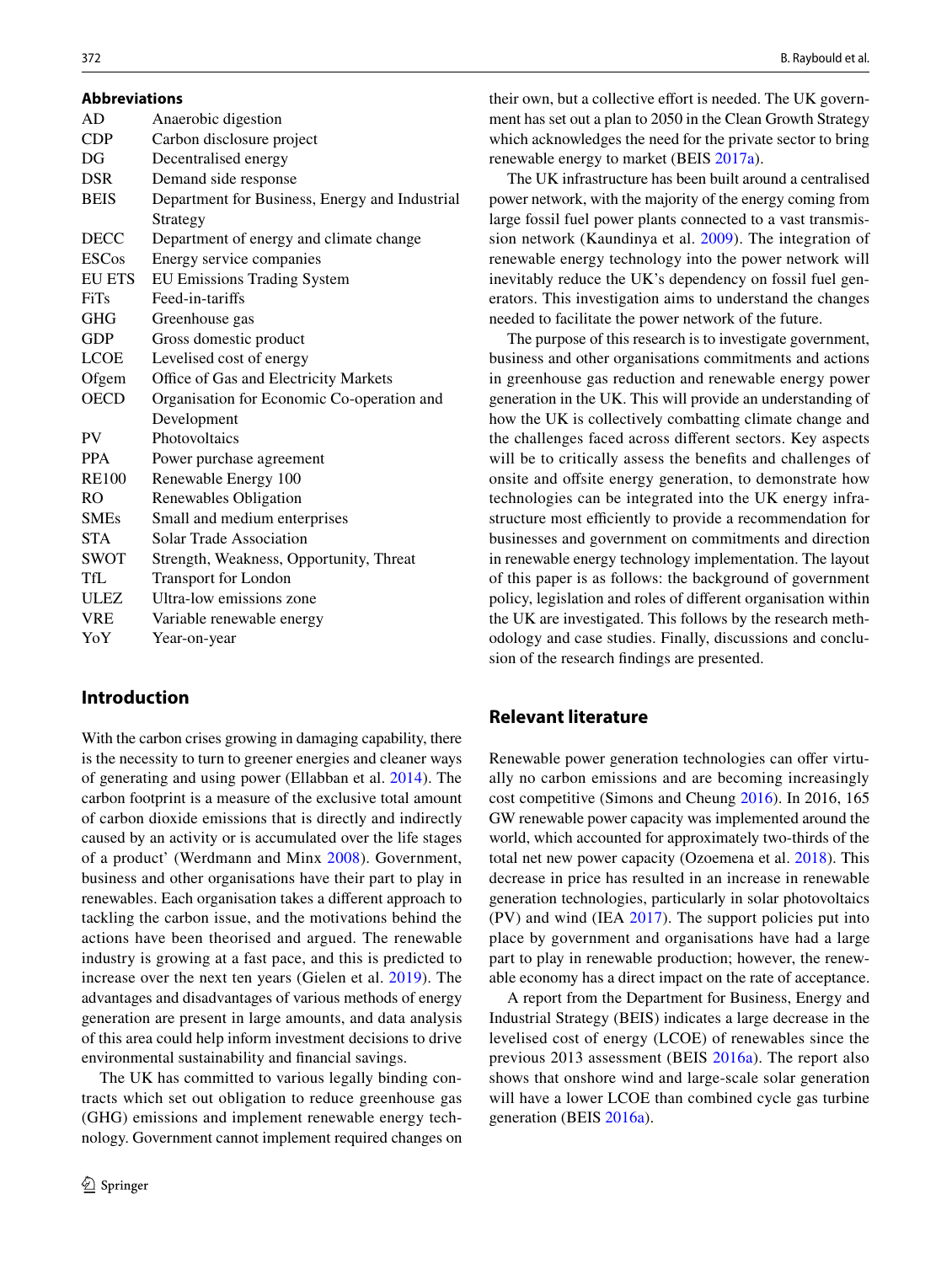| <b>Abbreviations</b> |                                                |
|----------------------|------------------------------------------------|
| AD                   | Anaerobic digestion                            |
| <b>CDP</b>           | Carbon disclosure project                      |
| DG                   | Decentralised energy                           |
| <b>DSR</b>           | Demand side response                           |
| <b>BEIS</b>          | Department for Business, Energy and Industrial |
|                      | Strategy                                       |
| <b>DECC</b>          | Department of energy and climate change        |
| <b>ESCos</b>         | Energy service companies                       |
| <b>EU ETS</b>        | <b>EU Emissions Trading System</b>             |
| <b>FiTs</b>          | Feed-in-tariffs                                |
| <b>GHG</b>           | Greenhouse gas                                 |
| <b>GDP</b>           | Gross domestic product                         |
| <b>LCOE</b>          | Levelised cost of energy                       |
| Ofgem                | Office of Gas and Electricity Markets          |
| <b>OECD</b>          | Organisation for Economic Co-operation and     |
|                      | Development                                    |
| <b>PV</b>            | Photovoltaics                                  |
| <b>PPA</b>           | Power purchase agreement                       |
| <b>RE100</b>         | Renewable Energy 100                           |
| R <sub>O</sub>       | Renewables Obligation                          |
| <b>SMEs</b>          | Small and medium enterprises                   |
| <b>STA</b>           | Solar Trade Association                        |
| <b>SWOT</b>          | Strength, Weakness, Opportunity, Threat        |
| TfL                  | <b>Transport for London</b>                    |
| <b>ULEZ</b>          | Ultra-low emissions zone                       |
| <b>VRE</b>           | Variable renewable energy                      |
| YoY                  | Year-on-year                                   |
|                      |                                                |

### **Introduction**

With the carbon crises growing in damaging capability, there is the necessity to turn to greener energies and cleaner ways of generating and using power (Ellabban et al. [2014\)](#page-15-0). The carbon footprint is a measure of the exclusive total amount of carbon dioxide emissions that is directly and indirectly caused by an activity or is accumulated over the life stages of a product' (Werdmann and Minx [2008\)](#page-16-0). Government, business and other organisations have their part to play in renewables. Each organisation takes a diferent approach to tackling the carbon issue, and the motivations behind the actions have been theorised and argued. The renewable industry is growing at a fast pace, and this is predicted to increase over the next ten years (Gielen et al. [2019](#page-15-1)). The advantages and disadvantages of various methods of energy generation are present in large amounts, and data analysis of this area could help inform investment decisions to drive environmental sustainability and fnancial savings.

The UK has committed to various legally binding contracts which set out obligation to reduce greenhouse gas (GHG) emissions and implement renewable energy technology. Government cannot implement required changes on their own, but a collective effort is needed. The UK government has set out a plan to 2050 in the Clean Growth Strategy which acknowledges the need for the private sector to bring renewable energy to market (BEIS [2017a](#page-14-0)).

The UK infrastructure has been built around a centralised power network, with the majority of the energy coming from large fossil fuel power plants connected to a vast transmission network (Kaundinya et al. [2009](#page-15-2)). The integration of renewable energy technology into the power network will inevitably reduce the UK's dependency on fossil fuel generators. This investigation aims to understand the changes needed to facilitate the power network of the future.

The purpose of this research is to investigate government, business and other organisations commitments and actions in greenhouse gas reduction and renewable energy power generation in the UK. This will provide an understanding of how the UK is collectively combatting climate change and the challenges faced across diferent sectors. Key aspects will be to critically assess the benefits and challenges of onsite and offsite energy generation, to demonstrate how technologies can be integrated into the UK energy infrastructure most efficiently to provide a recommendation for businesses and government on commitments and direction in renewable energy technology implementation. The layout of this paper is as follows: the background of government policy, legislation and roles of diferent organisation within the UK are investigated. This follows by the research methodology and case studies. Finally, discussions and conclusion of the research fndings are presented.

### **Relevant literature**

Renewable power generation technologies can offer virtually no carbon emissions and are becoming increasingly cost competitive (Simons and Cheung [2016\)](#page-15-3). In 2016, 165 GW renewable power capacity was implemented around the world, which accounted for approximately two-thirds of the total net new power capacity (Ozoemena et al. [2018\)](#page-15-4). This decrease in price has resulted in an increase in renewable generation technologies, particularly in solar photovoltaics (PV) and wind (IEA [2017\)](#page-15-5). The support policies put into place by government and organisations have had a large part to play in renewable production; however, the renewable economy has a direct impact on the rate of acceptance.

A report from the Department for Business, Energy and Industrial Strategy (BEIS) indicates a large decrease in the levelised cost of energy (LCOE) of renewables since the previous 2013 assessment (BEIS [2016a](#page-14-1)). The report also shows that onshore wind and large-scale solar generation will have a lower LCOE than combined cycle gas turbine generation (BEIS [2016a](#page-14-1)).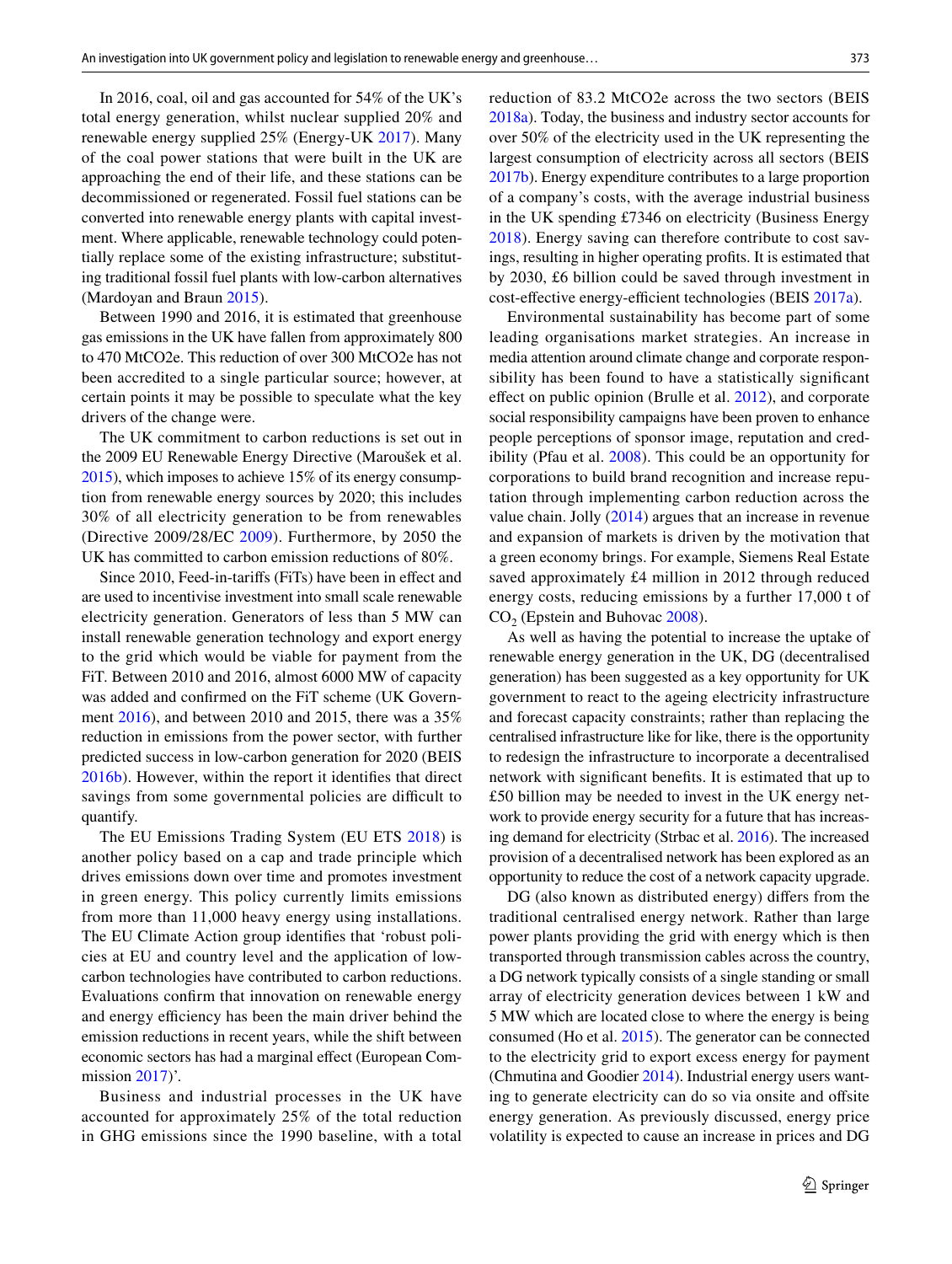In 2016, coal, oil and gas accounted for 54% of the UK's total energy generation, whilst nuclear supplied 20% and renewable energy supplied 25% (Energy-UK [2017](#page-15-6)). Many of the coal power stations that were built in the UK are approaching the end of their life, and these stations can be decommissioned or regenerated. Fossil fuel stations can be converted into renewable energy plants with capital investment. Where applicable, renewable technology could potentially replace some of the existing infrastructure; substituting traditional fossil fuel plants with low-carbon alternatives (Mardoyan and Braun [2015](#page-15-7)).

Between 1990 and 2016, it is estimated that greenhouse gas emissions in the UK have fallen from approximately 800 to 470 MtCO2e. This reduction of over 300 MtCO2e has not been accredited to a single particular source; however, at certain points it may be possible to speculate what the key drivers of the change were.

The UK commitment to carbon reductions is set out in the 2009 EU Renewable Energy Directive (Maroušek et al. [2015\)](#page-15-8), which imposes to achieve 15% of its energy consumption from renewable energy sources by 2020; this includes 30% of all electricity generation to be from renewables (Directive 2009/28/EC [2009\)](#page-15-9). Furthermore, by 2050 the UK has committed to carbon emission reductions of 80%.

Since 2010, Feed-in-tarifs (FiTs) have been in efect and are used to incentivise investment into small scale renewable electricity generation. Generators of less than 5 MW can install renewable generation technology and export energy to the grid which would be viable for payment from the FiT. Between 2010 and 2016, almost 6000 MW of capacity was added and confrmed on the FiT scheme (UK Government [2016](#page-16-1)), and between 2010 and 2015, there was a 35% reduction in emissions from the power sector, with further predicted success in low-carbon generation for 2020 (BEIS [2016b](#page-14-2)). However, within the report it identifes that direct savings from some governmental policies are difficult to quantify.

The EU Emissions Trading System (EU ETS [2018\)](#page-15-10) is another policy based on a cap and trade principle which drives emissions down over time and promotes investment in green energy. This policy currently limits emissions from more than 11,000 heavy energy using installations. The EU Climate Action group identifes that 'robust policies at EU and country level and the application of lowcarbon technologies have contributed to carbon reductions. Evaluations confrm that innovation on renewable energy and energy efficiency has been the main driver behind the emission reductions in recent years, while the shift between economic sectors has had a marginal efect (European Com-mission [2017](#page-15-11))'.

Business and industrial processes in the UK have accounted for approximately 25% of the total reduction in GHG emissions since the 1990 baseline, with a total

reduction of 83.2 MtCO2e across the two sectors (BEIS [2018a\)](#page-14-3). Today, the business and industry sector accounts for over 50% of the electricity used in the UK representing the largest consumption of electricity across all sectors (BEIS [2017b\)](#page-14-4). Energy expenditure contributes to a large proportion of a company's costs, with the average industrial business in the UK spending £7346 on electricity (Business Energy [2018\)](#page-14-5). Energy saving can therefore contribute to cost savings, resulting in higher operating profts. It is estimated that by 2030, £6 billion could be saved through investment in cost-effective energy-efficient technologies (BEIS [2017a\)](#page-14-0).

Environmental sustainability has become part of some leading organisations market strategies. An increase in media attention around climate change and corporate responsibility has been found to have a statistically signifcant efect on public opinion (Brulle et al. [2012\)](#page-14-6), and corporate social responsibility campaigns have been proven to enhance people perceptions of sponsor image, reputation and credibility (Pfau et al. [2008\)](#page-15-12). This could be an opportunity for corporations to build brand recognition and increase reputation through implementing carbon reduction across the value chain. Jolly [\(2014](#page-15-13)) argues that an increase in revenue and expansion of markets is driven by the motivation that a green economy brings. For example, Siemens Real Estate saved approximately £4 million in 2012 through reduced energy costs, reducing emissions by a further 17,000 t of  $CO<sub>2</sub>$  (Epstein and Buhovac [2008](#page-15-14)).

As well as having the potential to increase the uptake of renewable energy generation in the UK, DG (decentralised generation) has been suggested as a key opportunity for UK government to react to the ageing electricity infrastructure and forecast capacity constraints; rather than replacing the centralised infrastructure like for like, there is the opportunity to redesign the infrastructure to incorporate a decentralised network with signifcant benefts. It is estimated that up to £50 billion may be needed to invest in the UK energy network to provide energy security for a future that has increasing demand for electricity (Strbac et al. [2016](#page-15-15)). The increased provision of a decentralised network has been explored as an opportunity to reduce the cost of a network capacity upgrade.

DG (also known as distributed energy) difers from the traditional centralised energy network. Rather than large power plants providing the grid with energy which is then transported through transmission cables across the country, a DG network typically consists of a single standing or small array of electricity generation devices between 1 kW and 5 MW which are located close to where the energy is being consumed (Ho et al. [2015](#page-15-16)). The generator can be connected to the electricity grid to export excess energy for payment (Chmutina and Goodier [2014\)](#page-14-7). Industrial energy users wanting to generate electricity can do so via onsite and offsite energy generation. As previously discussed, energy price volatility is expected to cause an increase in prices and DG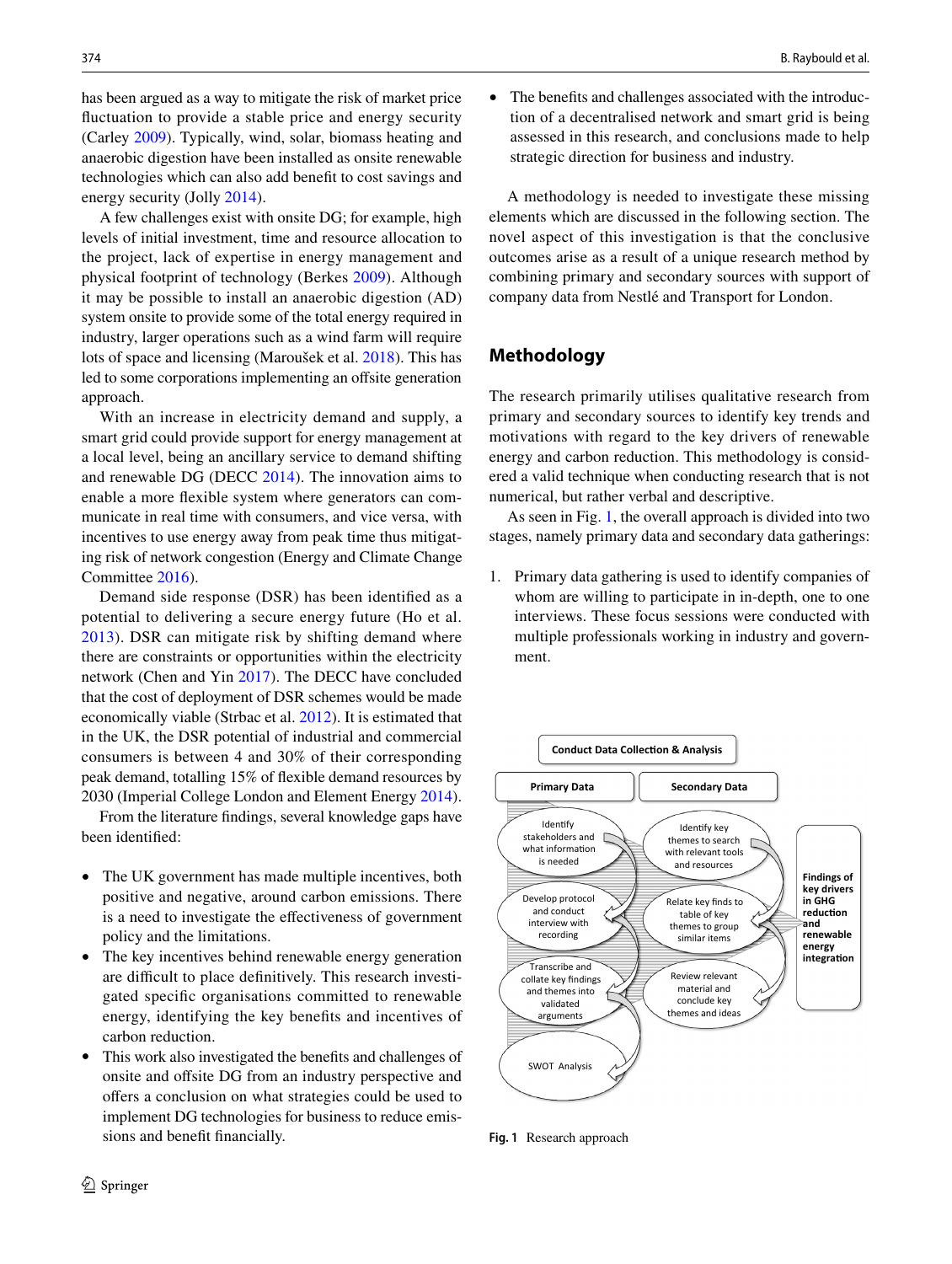has been argued as a way to mitigate the risk of market price fuctuation to provide a stable price and energy security (Carley [2009](#page-14-8)). Typically, wind, solar, biomass heating and anaerobic digestion have been installed as onsite renewable technologies which can also add beneft to cost savings and energy security (Jolly [2014\)](#page-15-13).

A few challenges exist with onsite DG; for example, high levels of initial investment, time and resource allocation to the project, lack of expertise in energy management and physical footprint of technology (Berkes [2009](#page-14-9)). Although it may be possible to install an anaerobic digestion (AD) system onsite to provide some of the total energy required in industry, larger operations such as a wind farm will require lots of space and licensing (Maroušek et al. [2018](#page-15-17)). This has led to some corporations implementing an offsite generation approach.

With an increase in electricity demand and supply, a smart grid could provide support for energy management at a local level, being an ancillary service to demand shifting and renewable DG (DECC [2014\)](#page-15-18). The innovation aims to enable a more fexible system where generators can communicate in real time with consumers, and vice versa, with incentives to use energy away from peak time thus mitigating risk of network congestion (Energy and Climate Change Committee [2016\)](#page-15-19).

Demand side response (DSR) has been identifed as a potential to delivering a secure energy future (Ho et al. [2013\)](#page-15-20). DSR can mitigate risk by shifting demand where there are constraints or opportunities within the electricity network (Chen and Yin [2017](#page-14-10)). The DECC have concluded that the cost of deployment of DSR schemes would be made economically viable (Strbac et al. [2012](#page-15-21)). It is estimated that in the UK, the DSR potential of industrial and commercial consumers is between 4 and 30% of their corresponding peak demand, totalling 15% of fexible demand resources by 2030 (Imperial College London and Element Energy [2014](#page-15-22)).

From the literature fndings, several knowledge gaps have been identifed:

- The UK government has made multiple incentives, both positive and negative, around carbon emissions. There is a need to investigate the efectiveness of government policy and the limitations.
- The key incentives behind renewable energy generation are difficult to place definitively. This research investigated specifc organisations committed to renewable energy, identifying the key benefts and incentives of carbon reduction.
- This work also investigated the benefts and challenges of onsite and offsite DG from an industry perspective and offers a conclusion on what strategies could be used to implement DG technologies for business to reduce emissions and beneft fnancially.
- 374 B. Raybould et al.
	- The benefits and challenges associated with the introduction of a decentralised network and smart grid is being assessed in this research, and conclusions made to help strategic direction for business and industry.

A methodology is needed to investigate these missing elements which are discussed in the following section. The novel aspect of this investigation is that the conclusive outcomes arise as a result of a unique research method by combining primary and secondary sources with support of company data from Nestlé and Transport for London.

### **Methodology**

The research primarily utilises qualitative research from primary and secondary sources to identify key trends and motivations with regard to the key drivers of renewable energy and carbon reduction. This methodology is considered a valid technique when conducting research that is not numerical, but rather verbal and descriptive.

As seen in Fig. [1,](#page-3-0) the overall approach is divided into two stages, namely primary data and secondary data gatherings:

1. Primary data gathering is used to identify companies of whom are willing to participate in in-depth, one to one interviews. These focus sessions were conducted with multiple professionals working in industry and government.



<span id="page-3-0"></span>**Fig. 1** Research approach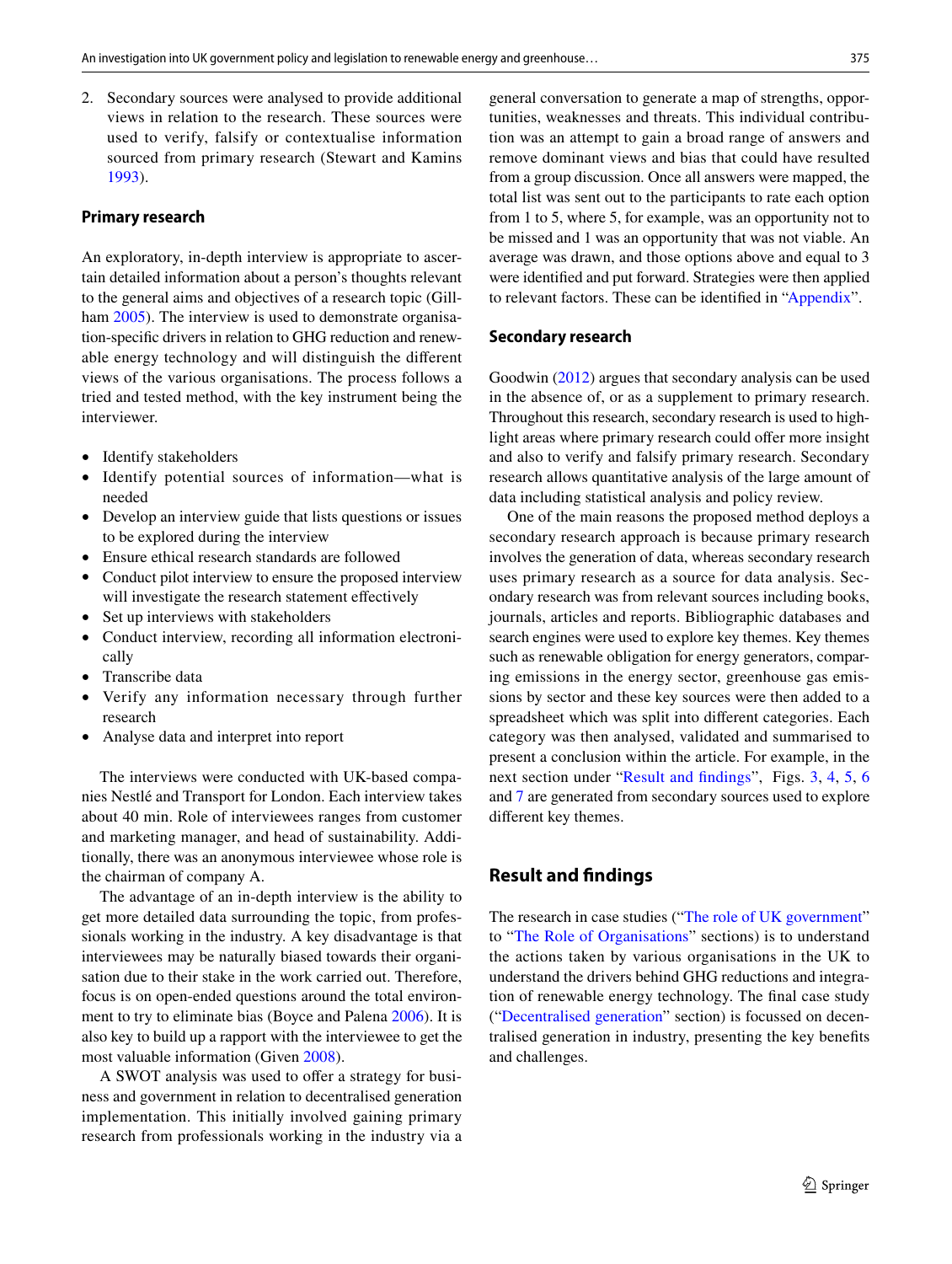2. Secondary sources were analysed to provide additional views in relation to the research. These sources were used to verify, falsify or contextualise information sourced from primary research (Stewart and Kamins [1993](#page-15-23)).

#### **Primary research**

An exploratory, in-depth interview is appropriate to ascertain detailed information about a person's thoughts relevant to the general aims and objectives of a research topic (Gill-ham [2005](#page-15-24)). The interview is used to demonstrate organisation-specifc drivers in relation to GHG reduction and renewable energy technology and will distinguish the diferent views of the various organisations. The process follows a tried and tested method, with the key instrument being the interviewer.

- Identify stakeholders
- Identify potential sources of information—what is needed
- Develop an interview guide that lists questions or issues to be explored during the interview
- Ensure ethical research standards are followed
- Conduct pilot interview to ensure the proposed interview will investigate the research statement effectively
- Set up interviews with stakeholders
- Conduct interview, recording all information electronically
- Transcribe data
- Verify any information necessary through further research
- Analyse data and interpret into report

The interviews were conducted with UK-based companies Nestlé and Transport for London. Each interview takes about 40 min. Role of interviewees ranges from customer and marketing manager, and head of sustainability. Additionally, there was an anonymous interviewee whose role is the chairman of company A.

The advantage of an in-depth interview is the ability to get more detailed data surrounding the topic, from professionals working in the industry. A key disadvantage is that interviewees may be naturally biased towards their organisation due to their stake in the work carried out. Therefore, focus is on open-ended questions around the total environment to try to eliminate bias (Boyce and Palena [2006](#page-14-11)). It is also key to build up a rapport with the interviewee to get the most valuable information (Given [2008](#page-15-25)).

A SWOT analysis was used to offer a strategy for business and government in relation to decentralised generation implementation. This initially involved gaining primary research from professionals working in the industry via a general conversation to generate a map of strengths, opportunities, weaknesses and threats. This individual contribution was an attempt to gain a broad range of answers and remove dominant views and bias that could have resulted from a group discussion. Once all answers were mapped, the total list was sent out to the participants to rate each option from 1 to 5, where 5, for example, was an opportunity not to be missed and 1 was an opportunity that was not viable. An average was drawn, and those options above and equal to 3 were identifed and put forward. Strategies were then applied to relevant factors. These can be identifed in ["Appendix"](#page-12-0).

#### **Secondary research**

Goodwin [\(2012](#page-15-26)) argues that secondary analysis can be used in the absence of, or as a supplement to primary research. Throughout this research, secondary research is used to highlight areas where primary research could offer more insight and also to verify and falsify primary research. Secondary research allows quantitative analysis of the large amount of data including statistical analysis and policy review.

One of the main reasons the proposed method deploys a secondary research approach is because primary research involves the generation of data, whereas secondary research uses primary research as a source for data analysis. Secondary research was from relevant sources including books, journals, articles and reports. Bibliographic databases and search engines were used to explore key themes. Key themes such as renewable obligation for energy generators, comparing emissions in the energy sector, greenhouse gas emissions by sector and these key sources were then added to a spreadsheet which was split into diferent categories. Each category was then analysed, validated and summarised to present a conclusion within the article. For example, in the next section under "[Result and fndings](#page-4-0)", Figs. [3](#page-5-0), [4,](#page-6-0) [5,](#page-6-1) [6](#page-6-2) and [7](#page-7-0) are generated from secondary sources used to explore diferent key themes.

### <span id="page-4-0"></span>**Result and fndings**

The research in case studies (["The role of UK government"](#page-5-1) to "[The Role of Organisations](#page-8-0)" sections) is to understand the actions taken by various organisations in the UK to understand the drivers behind GHG reductions and integration of renewable energy technology. The fnal case study ("[Decentralised generation"](#page-8-1) section) is focussed on decentralised generation in industry, presenting the key benefts and challenges.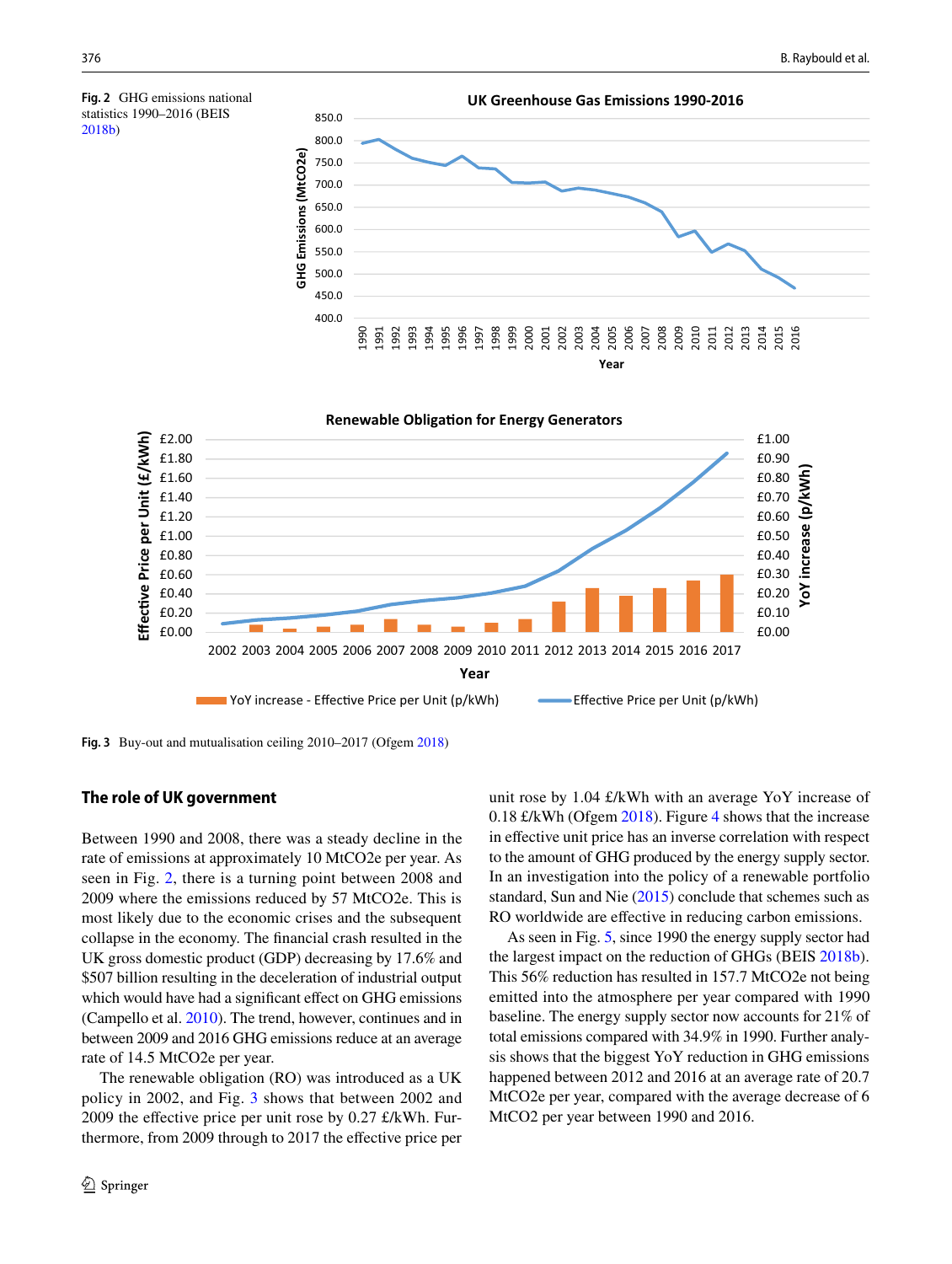[2018b](#page-14-13))

<span id="page-5-2"></span>



<span id="page-5-0"></span>**Fig. 3** Buy-out and mutualisation ceiling 2010–2017 (Ofgem [2018](#page-15-27))

#### <span id="page-5-1"></span>**The role of UK government**

Between 1990 and 2008, there was a steady decline in the rate of emissions at approximately 10 MtCO2e per year. As seen in Fig. [2](#page-5-2), there is a turning point between 2008 and 2009 where the emissions reduced by 57 MtCO2e. This is most likely due to the economic crises and the subsequent collapse in the economy. The fnancial crash resulted in the UK gross domestic product (GDP) decreasing by 17.6% and \$507 billion resulting in the deceleration of industrial output which would have had a significant effect on GHG emissions (Campello et al. [2010](#page-14-12)). The trend, however, continues and in between 2009 and 2016 GHG emissions reduce at an average rate of 14.5 MtCO2e per year.

The renewable obligation (RO) was introduced as a UK policy in 2002, and Fig. [3](#page-5-0) shows that between 2002 and 2009 the effective price per unit rose by  $0.27 \text{ f/kWh}$ . Furthermore, from 2009 through to 2017 the efective price per unit rose by 1.04 £/kWh with an average YoY increase of 0.18 £/kWh (Ofgem [2018\)](#page-15-27). Figure [4](#page-6-0) shows that the increase in efective unit price has an inverse correlation with respect to the amount of GHG produced by the energy supply sector. In an investigation into the policy of a renewable portfolio standard, Sun and Nie ([2015\)](#page-15-28) conclude that schemes such as RO worldwide are effective in reducing carbon emissions.

As seen in Fig. [5](#page-6-1), since 1990 the energy supply sector had the largest impact on the reduction of GHGs (BEIS [2018b](#page-14-13)). This 56% reduction has resulted in 157.7 MtCO2e not being emitted into the atmosphere per year compared with 1990 baseline. The energy supply sector now accounts for 21% of total emissions compared with 34.9% in 1990. Further analysis shows that the biggest YoY reduction in GHG emissions happened between 2012 and 2016 at an average rate of 20.7 MtCO2e per year, compared with the average decrease of 6 MtCO2 per year between 1990 and 2016.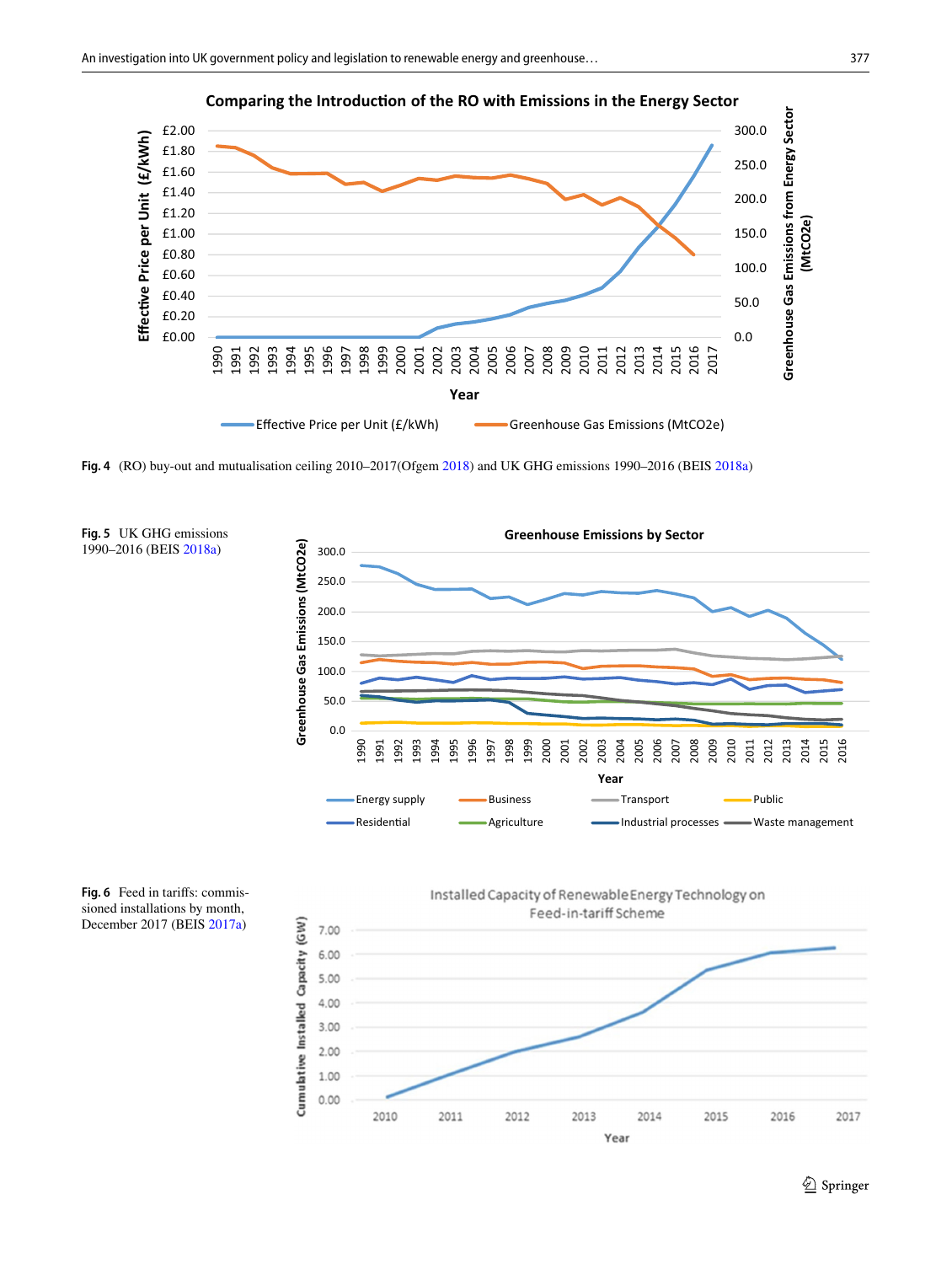

**Comparing the Introduction of the RO with Emissions in the Energy Sector** 

<span id="page-6-0"></span>**Fig. 4** (RO) buy-out and mutualisation ceiling 2010–2017(Ofgem [2018\)](#page-15-27) and UK GHG emissions 1990–2016 (BEIS [2018a](#page-14-3))

<span id="page-6-1"></span>

<span id="page-6-2"></span>**Fig. 6** Feed in tarifs: commissioned installations by month, December 2017 (BEIS [2017a](#page-14-0))

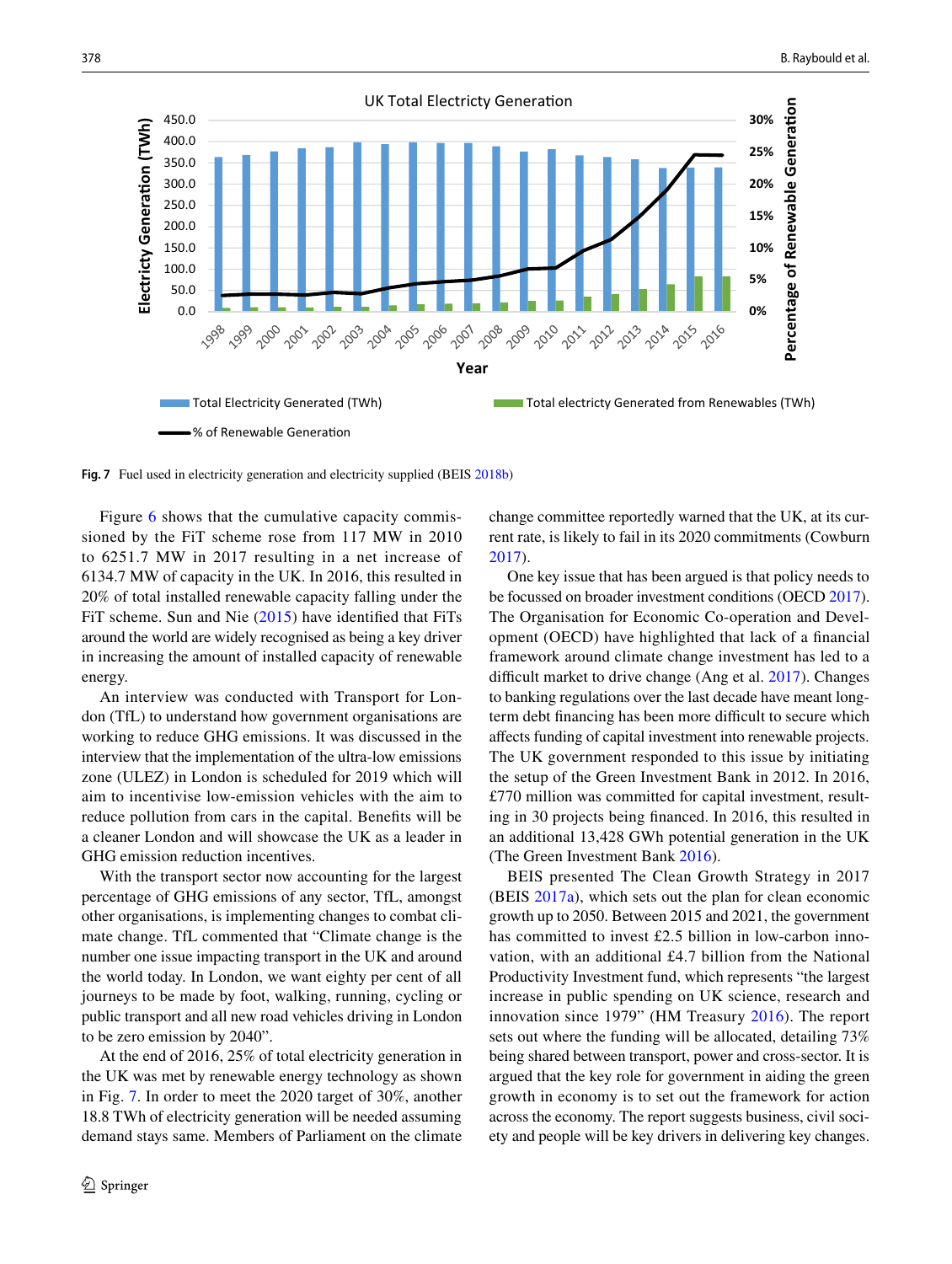

<span id="page-7-0"></span>**Fig. 7** Fuel used in electricity generation and electricity supplied (BEIS [2018b](#page-14-13))

Figure [6](#page-6-2) shows that the cumulative capacity commissioned by the FiT scheme rose from 117 MW in 2010 to 6251.7 MW in 2017 resulting in a net increase of 6134.7 MW of capacity in the UK. In 2016, this resulted in 20% of total installed renewable capacity falling under the FiT scheme. Sun and Nie [\(2015\)](#page-15-28) have identifed that FiTs around the world are widely recognised as being a key driver in increasing the amount of installed capacity of renewable energy.

An interview was conducted with Transport for London (TfL) to understand how government organisations are working to reduce GHG emissions. It was discussed in the interview that the implementation of the ultra-low emissions zone (ULEZ) in London is scheduled for 2019 which will aim to incentivise low-emission vehicles with the aim to reduce pollution from cars in the capital. Benefts will be a cleaner London and will showcase the UK as a leader in GHG emission reduction incentives.

With the transport sector now accounting for the largest percentage of GHG emissions of any sector, TfL, amongst other organisations, is implementing changes to combat climate change. TfL commented that "Climate change is the number one issue impacting transport in the UK and around the world today. In London, we want eighty per cent of all journeys to be made by foot, walking, running, cycling or public transport and all new road vehicles driving in London to be zero emission by 2040".

At the end of 2016, 25% of total electricity generation in the UK was met by renewable energy technology as shown in Fig. [7.](#page-7-0) In order to meet the 2020 target of 30%, another 18.8 TWh of electricity generation will be needed assuming demand stays same. Members of Parliament on the climate change committee reportedly warned that the UK, at its current rate, is likely to fail in its 2020 commitments (Cowburn [2017](#page-15-29)).

One key issue that has been argued is that policy needs to be focussed on broader investment conditions (OECD [2017](#page-15-30)). The Organisation for Economic Co-operation and Development (OECD) have highlighted that lack of a fnancial framework around climate change investment has led to a difficult market to drive change (Ang et al. [2017](#page-14-14)). Changes to banking regulations over the last decade have meant longterm debt financing has been more difficult to secure which afects funding of capital investment into renewable projects. The UK government responded to this issue by initiating the setup of the Green Investment Bank in 2012. In 2016, £770 million was committed for capital investment, resulting in 30 projects being fnanced. In 2016, this resulted in an additional 13,428 GWh potential generation in the UK (The Green Investment Bank [2016](#page-16-2)).

BEIS presented The Clean Growth Strategy in 2017 (BEIS [2017a](#page-14-0)), which sets out the plan for clean economic growth up to 2050. Between 2015 and 2021, the government has committed to invest £2.5 billion in low-carbon innovation, with an additional £4.7 billion from the National Productivity Investment fund, which represents "the largest increase in public spending on UK science, research and innovation since 1979" (HM Treasury [2016\)](#page-15-31). The report sets out where the funding will be allocated, detailing 73% being shared between transport, power and cross-sector. It is argued that the key role for government in aiding the green growth in economy is to set out the framework for action across the economy. The report suggests business, civil society and people will be key drivers in delivering key changes.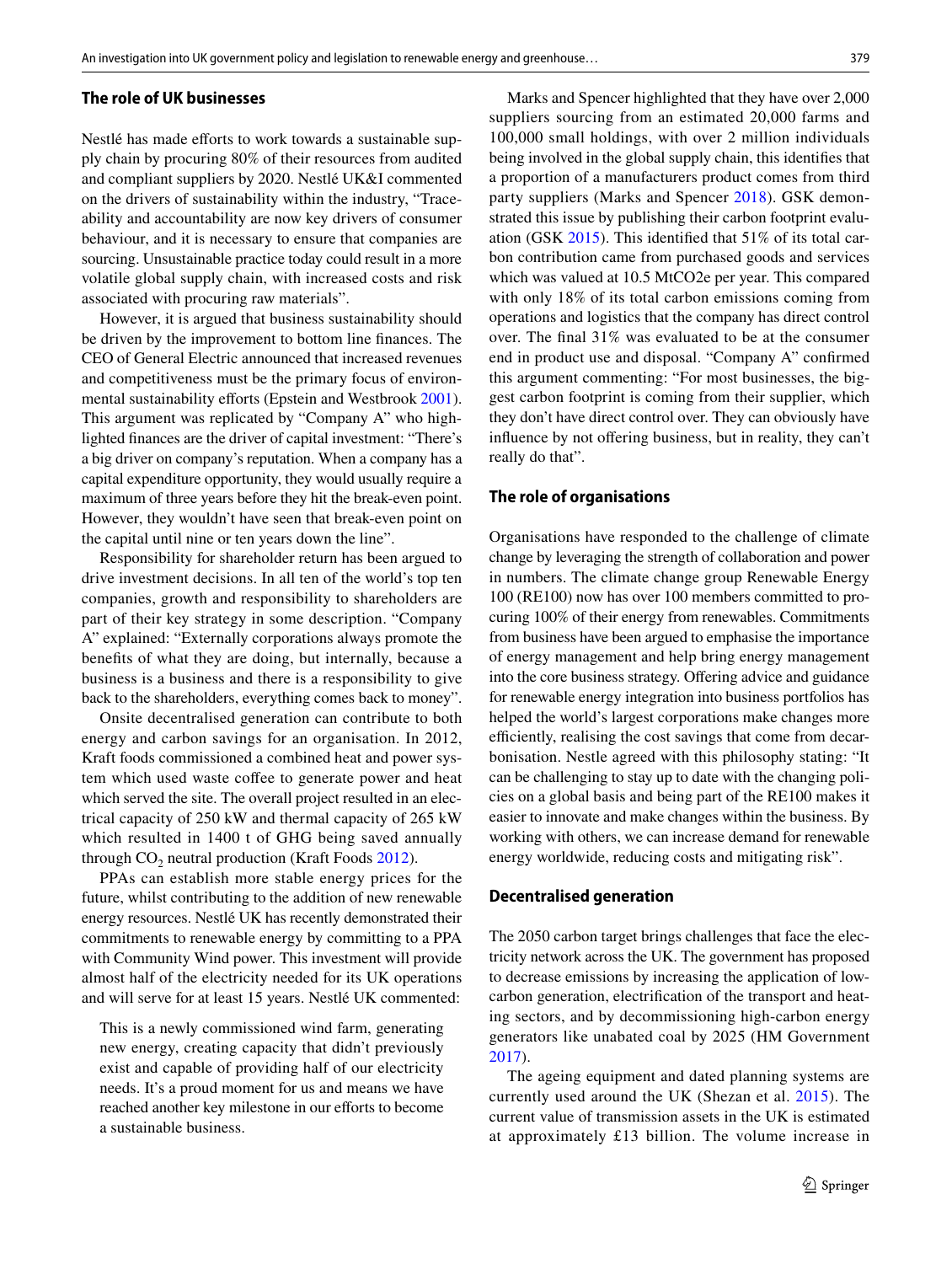#### <span id="page-8-2"></span>**The role of UK businesses**

Nestlé has made efforts to work towards a sustainable supply chain by procuring 80% of their resources from audited and compliant suppliers by 2020. Nestlé UK&I commented on the drivers of sustainability within the industry, "Traceability and accountability are now key drivers of consumer behaviour, and it is necessary to ensure that companies are sourcing. Unsustainable practice today could result in a more volatile global supply chain, with increased costs and risk associated with procuring raw materials".

However, it is argued that business sustainability should be driven by the improvement to bottom line fnances. The CEO of General Electric announced that increased revenues and competitiveness must be the primary focus of environ-mental sustainability efforts (Epstein and Westbrook [2001](#page-15-32)). This argument was replicated by "Company A" who highlighted fnances are the driver of capital investment: "There's a big driver on company's reputation. When a company has a capital expenditure opportunity, they would usually require a maximum of three years before they hit the break-even point. However, they wouldn't have seen that break-even point on the capital until nine or ten years down the line".

Responsibility for shareholder return has been argued to drive investment decisions. In all ten of the world's top ten companies, growth and responsibility to shareholders are part of their key strategy in some description. "Company A" explained: "Externally corporations always promote the benefts of what they are doing, but internally, because a business is a business and there is a responsibility to give back to the shareholders, everything comes back to money".

Onsite decentralised generation can contribute to both energy and carbon savings for an organisation. In 2012, Kraft foods commissioned a combined heat and power system which used waste coffee to generate power and heat which served the site. The overall project resulted in an electrical capacity of 250 kW and thermal capacity of 265 kW which resulted in 1400 t of GHG being saved annually through  $CO<sub>2</sub>$  neutral production (Kraft Foods [2012](#page-15-33)).

PPAs can establish more stable energy prices for the future, whilst contributing to the addition of new renewable energy resources. Nestlé UK has recently demonstrated their commitments to renewable energy by committing to a PPA with Community Wind power. This investment will provide almost half of the electricity needed for its UK operations and will serve for at least 15 years. Nestlé UK commented:

This is a newly commissioned wind farm, generating new energy, creating capacity that didn't previously exist and capable of providing half of our electricity needs. It's a proud moment for us and means we have reached another key milestone in our efforts to become a sustainable business.

Marks and Spencer highlighted that they have over 2,000 suppliers sourcing from an estimated 20,000 farms and 100,000 small holdings, with over 2 million individuals being involved in the global supply chain, this identifes that a proportion of a manufacturers product comes from third party suppliers (Marks and Spencer [2018\)](#page-15-34). GSK demonstrated this issue by publishing their carbon footprint evaluation (GSK [2015\)](#page-15-35). This identifed that 51% of its total carbon contribution came from purchased goods and services which was valued at 10.5 MtCO2e per year. This compared with only 18% of its total carbon emissions coming from operations and logistics that the company has direct control over. The fnal 31% was evaluated to be at the consumer end in product use and disposal. "Company A" confrmed this argument commenting: "For most businesses, the biggest carbon footprint is coming from their supplier, which they don't have direct control over. They can obviously have influence by not offering business, but in reality, they can't really do that".

#### <span id="page-8-0"></span>**The role of organisations**

Organisations have responded to the challenge of climate change by leveraging the strength of collaboration and power in numbers. The climate change group Renewable Energy 100 (RE100) now has over 100 members committed to procuring 100% of their energy from renewables. Commitments from business have been argued to emphasise the importance of energy management and help bring energy management into the core business strategy. Offering advice and guidance for renewable energy integration into business portfolios has helped the world's largest corporations make changes more efficiently, realising the cost savings that come from decarbonisation. Nestle agreed with this philosophy stating: "It can be challenging to stay up to date with the changing policies on a global basis and being part of the RE100 makes it easier to innovate and make changes within the business. By working with others, we can increase demand for renewable energy worldwide, reducing costs and mitigating risk".

#### <span id="page-8-1"></span>**Decentralised generation**

The 2050 carbon target brings challenges that face the electricity network across the UK. The government has proposed to decrease emissions by increasing the application of lowcarbon generation, electrifcation of the transport and heating sectors, and by decommissioning high-carbon energy generators like unabated coal by 2025 (HM Government [2017](#page-15-36)).

The ageing equipment and dated planning systems are currently used around the UK (Shezan et al. [2015\)](#page-15-37). The current value of transmission assets in the UK is estimated at approximately £13 billion. The volume increase in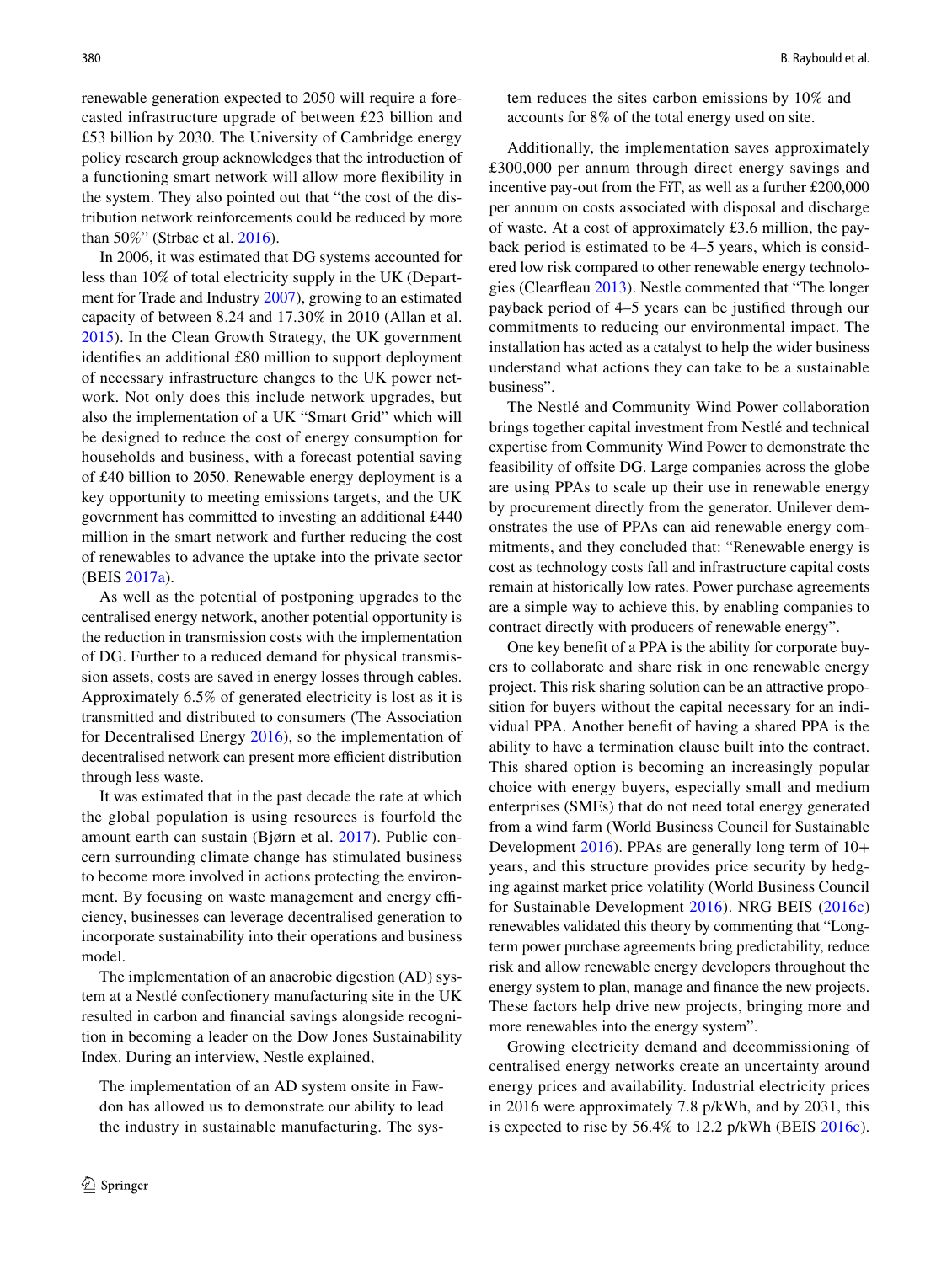renewable generation expected to 2050 will require a forecasted infrastructure upgrade of between £23 billion and £53 billion by 2030. The University of Cambridge energy policy research group acknowledges that the introduction of a functioning smart network will allow more fexibility in the system. They also pointed out that "the cost of the distribution network reinforcements could be reduced by more than 50%" (Strbac et al. [2016](#page-15-15)).

In 2006, it was estimated that DG systems accounted for less than 10% of total electricity supply in the UK (Department for Trade and Industry [2007](#page-15-38)), growing to an estimated capacity of between 8.24 and 17.30% in 2010 (Allan et al. [2015\)](#page-14-15). In the Clean Growth Strategy, the UK government identifes an additional £80 million to support deployment of necessary infrastructure changes to the UK power network. Not only does this include network upgrades, but also the implementation of a UK "Smart Grid" which will be designed to reduce the cost of energy consumption for households and business, with a forecast potential saving of £40 billion to 2050. Renewable energy deployment is a key opportunity to meeting emissions targets, and the UK government has committed to investing an additional £440 million in the smart network and further reducing the cost of renewables to advance the uptake into the private sector (BEIS [2017a](#page-14-0)).

As well as the potential of postponing upgrades to the centralised energy network, another potential opportunity is the reduction in transmission costs with the implementation of DG. Further to a reduced demand for physical transmission assets, costs are saved in energy losses through cables. Approximately 6.5% of generated electricity is lost as it is transmitted and distributed to consumers (The Association for Decentralised Energy [2016](#page-15-39)), so the implementation of decentralised network can present more efficient distribution through less waste.

It was estimated that in the past decade the rate at which the global population is using resources is fourfold the amount earth can sustain (Bjørn et al. [2017](#page-14-16)). Public concern surrounding climate change has stimulated business to become more involved in actions protecting the environment. By focusing on waste management and energy efficiency, businesses can leverage decentralised generation to incorporate sustainability into their operations and business model.

The implementation of an anaerobic digestion (AD) system at a Nestlé confectionery manufacturing site in the UK resulted in carbon and fnancial savings alongside recognition in becoming a leader on the Dow Jones Sustainability Index. During an interview, Nestle explained,

The implementation of an AD system onsite in Fawdon has allowed us to demonstrate our ability to lead the industry in sustainable manufacturing. The system reduces the sites carbon emissions by 10% and accounts for 8% of the total energy used on site.

Additionally, the implementation saves approximately £300,000 per annum through direct energy savings and incentive pay-out from the FiT, as well as a further £200,000 per annum on costs associated with disposal and discharge of waste. At a cost of approximately £3.6 million, the payback period is estimated to be 4–5 years, which is considered low risk compared to other renewable energy technologies (Clearfeau [2013](#page-15-40)). Nestle commented that "The longer payback period of 4–5 years can be justifed through our commitments to reducing our environmental impact. The installation has acted as a catalyst to help the wider business understand what actions they can take to be a sustainable business".

The Nestlé and Community Wind Power collaboration brings together capital investment from Nestlé and technical expertise from Community Wind Power to demonstrate the feasibility of ofsite DG. Large companies across the globe are using PPAs to scale up their use in renewable energy by procurement directly from the generator. Unilever demonstrates the use of PPAs can aid renewable energy commitments, and they concluded that: "Renewable energy is cost as technology costs fall and infrastructure capital costs remain at historically low rates. Power purchase agreements are a simple way to achieve this, by enabling companies to contract directly with producers of renewable energy".

One key beneft of a PPA is the ability for corporate buyers to collaborate and share risk in one renewable energy project. This risk sharing solution can be an attractive proposition for buyers without the capital necessary for an individual PPA. Another beneft of having a shared PPA is the ability to have a termination clause built into the contract. This shared option is becoming an increasingly popular choice with energy buyers, especially small and medium enterprises (SMEs) that do not need total energy generated from a wind farm (World Business Council for Sustainable Development [2016\)](#page-16-3). PPAs are generally long term of 10+ years, and this structure provides price security by hedging against market price volatility (World Business Council for Sustainable Development [2016](#page-16-3)). NRG BEIS ([2016c](#page-14-17)) renewables validated this theory by commenting that "Longterm power purchase agreements bring predictability, reduce risk and allow renewable energy developers throughout the energy system to plan, manage and fnance the new projects. These factors help drive new projects, bringing more and more renewables into the energy system".

Growing electricity demand and decommissioning of centralised energy networks create an uncertainty around energy prices and availability. Industrial electricity prices in 2016 were approximately 7.8 p/kWh, and by 2031, this is expected to rise by 56.4% to 12.2 p/kWh (BEIS [2016c](#page-14-17)).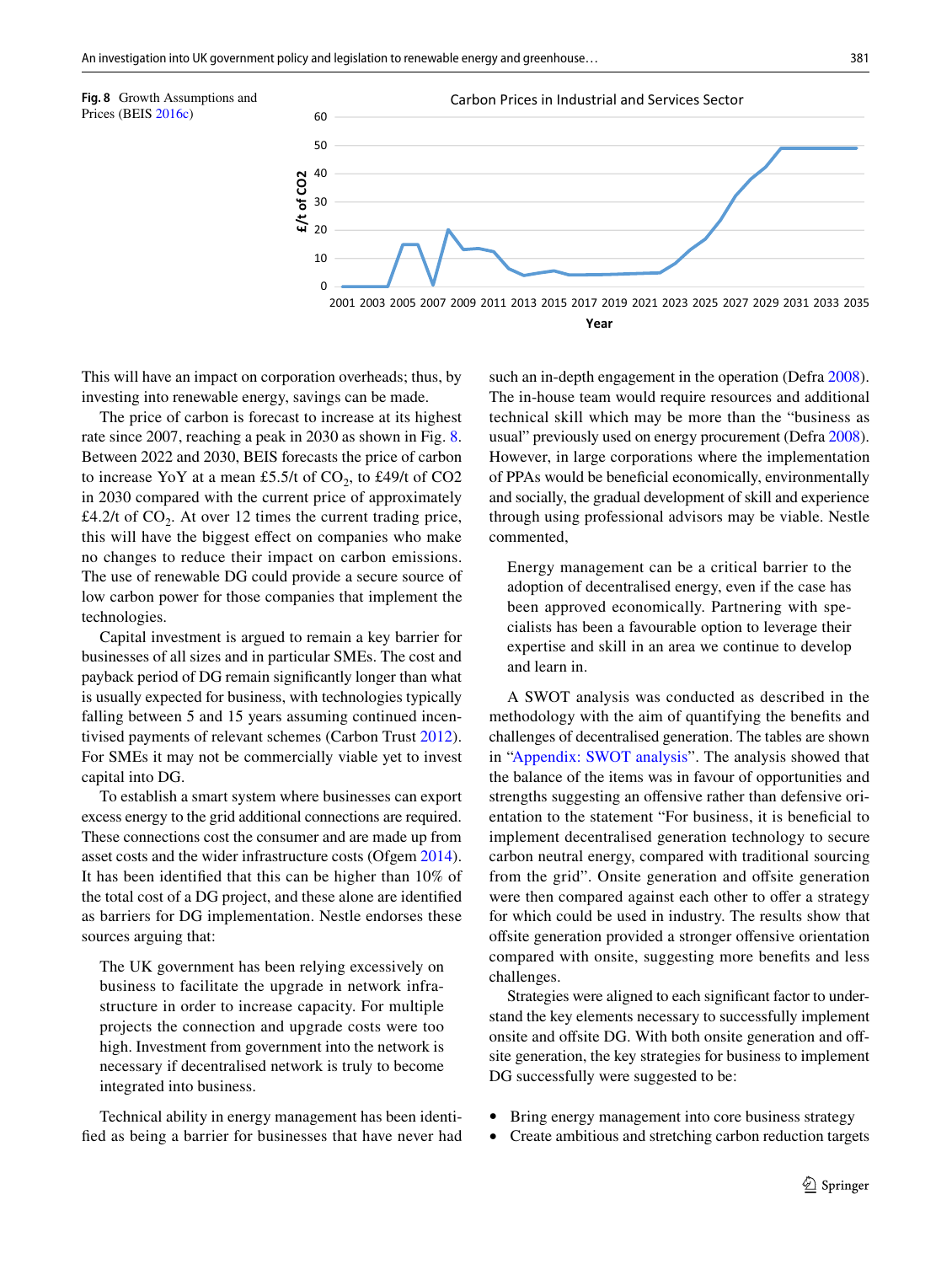<span id="page-10-0"></span>

This will have an impact on corporation overheads; thus, by investing into renewable energy, savings can be made.

The price of carbon is forecast to increase at its highest rate since 2007, reaching a peak in 2030 as shown in Fig. [8.](#page-10-0) Between 2022 and 2030, BEIS forecasts the price of carbon to increase YoY at a mean £5.5/t of  $CO<sub>2</sub>$ , to £49/t of  $CO<sub>2</sub>$ in 2030 compared with the current price of approximately £4.2/t of  $CO<sub>2</sub>$ . At over 12 times the current trading price, this will have the biggest efect on companies who make no changes to reduce their impact on carbon emissions. The use of renewable DG could provide a secure source of low carbon power for those companies that implement the technologies.

Capital investment is argued to remain a key barrier for businesses of all sizes and in particular SMEs. The cost and payback period of DG remain signifcantly longer than what is usually expected for business, with technologies typically falling between 5 and 15 years assuming continued incentivised payments of relevant schemes (Carbon Trust [2012](#page-14-18)). For SMEs it may not be commercially viable yet to invest capital into DG.

To establish a smart system where businesses can export excess energy to the grid additional connections are required. These connections cost the consumer and are made up from asset costs and the wider infrastructure costs (Ofgem [2014](#page-15-41)). It has been identifed that this can be higher than 10% of the total cost of a DG project, and these alone are identifed as barriers for DG implementation. Nestle endorses these sources arguing that:

The UK government has been relying excessively on business to facilitate the upgrade in network infrastructure in order to increase capacity. For multiple projects the connection and upgrade costs were too high. Investment from government into the network is necessary if decentralised network is truly to become integrated into business.

Technical ability in energy management has been identifed as being a barrier for businesses that have never had such an in-depth engagement in the operation (Defra [2008](#page-15-42)). The in-house team would require resources and additional technical skill which may be more than the "business as usual" previously used on energy procurement (Defra [2008](#page-15-42)). However, in large corporations where the implementation of PPAs would be benefcial economically, environmentally and socially, the gradual development of skill and experience through using professional advisors may be viable. Nestle commented,

Energy management can be a critical barrier to the adoption of decentralised energy, even if the case has been approved economically. Partnering with specialists has been a favourable option to leverage their expertise and skill in an area we continue to develop and learn in.

A SWOT analysis was conducted as described in the methodology with the aim of quantifying the benefts and challenges of decentralised generation. The tables are shown in ["Appendix: SWOT analysis"](#page-12-0). The analysis showed that the balance of the items was in favour of opportunities and strengths suggesting an offensive rather than defensive orientation to the statement "For business, it is benefcial to implement decentralised generation technology to secure carbon neutral energy, compared with traditional sourcing from the grid". Onsite generation and offsite generation were then compared against each other to offer a strategy for which could be used in industry. The results show that offsite generation provided a stronger offensive orientation compared with onsite, suggesting more benefts and less challenges.

Strategies were aligned to each signifcant factor to understand the key elements necessary to successfully implement onsite and offsite DG. With both onsite generation and offsite generation, the key strategies for business to implement DG successfully were suggested to be:

- Bring energy management into core business strategy
- Create ambitious and stretching carbon reduction targets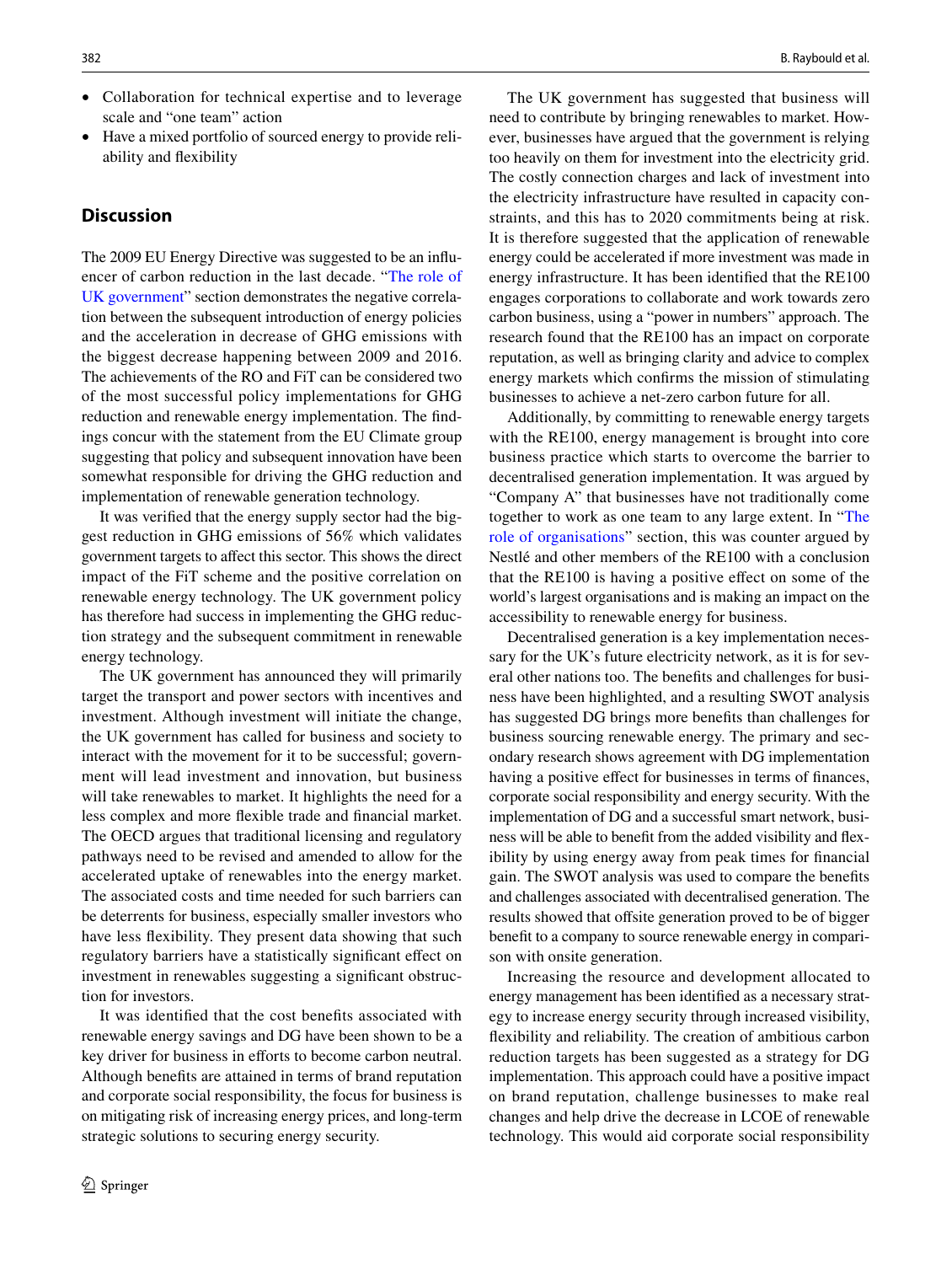• Have a mixed portfolio of sourced energy to provide reliability and fexibility

### **Discussion**

The 2009 EU Energy Directive was suggested to be an infuencer of carbon reduction in the last decade. "[The role of](#page-5-1) [UK government](#page-5-1)" section demonstrates the negative correlation between the subsequent introduction of energy policies and the acceleration in decrease of GHG emissions with the biggest decrease happening between 2009 and 2016. The achievements of the RO and FiT can be considered two of the most successful policy implementations for GHG reduction and renewable energy implementation. The fndings concur with the statement from the EU Climate group suggesting that policy and subsequent innovation have been somewhat responsible for driving the GHG reduction and implementation of renewable generation technology.

It was verifed that the energy supply sector had the biggest reduction in GHG emissions of 56% which validates government targets to afect this sector. This shows the direct impact of the FiT scheme and the positive correlation on renewable energy technology. The UK government policy has therefore had success in implementing the GHG reduction strategy and the subsequent commitment in renewable energy technology.

The UK government has announced they will primarily target the transport and power sectors with incentives and investment. Although investment will initiate the change, the UK government has called for business and society to interact with the movement for it to be successful; government will lead investment and innovation, but business will take renewables to market. It highlights the need for a less complex and more fexible trade and fnancial market. The OECD argues that traditional licensing and regulatory pathways need to be revised and amended to allow for the accelerated uptake of renewables into the energy market. The associated costs and time needed for such barriers can be deterrents for business, especially smaller investors who have less fexibility. They present data showing that such regulatory barriers have a statistically signifcant efect on investment in renewables suggesting a signifcant obstruction for investors.

It was identifed that the cost benefts associated with renewable energy savings and DG have been shown to be a key driver for business in efforts to become carbon neutral. Although benefts are attained in terms of brand reputation and corporate social responsibility, the focus for business is on mitigating risk of increasing energy prices, and long-term strategic solutions to securing energy security.

The UK government has suggested that business will need to contribute by bringing renewables to market. However, businesses have argued that the government is relying too heavily on them for investment into the electricity grid. The costly connection charges and lack of investment into the electricity infrastructure have resulted in capacity constraints, and this has to 2020 commitments being at risk. It is therefore suggested that the application of renewable energy could be accelerated if more investment was made in energy infrastructure. It has been identifed that the RE100 engages corporations to collaborate and work towards zero carbon business, using a "power in numbers" approach. The research found that the RE100 has an impact on corporate reputation, as well as bringing clarity and advice to complex energy markets which confrms the mission of stimulating businesses to achieve a net-zero carbon future for all.

Additionally, by committing to renewable energy targets with the RE100, energy management is brought into core business practice which starts to overcome the barrier to decentralised generation implementation. It was argued by "Company A" that businesses have not traditionally come together to work as one team to any large extent. In ["The](#page-8-0) [role of organisations](#page-8-0)" section, this was counter argued by Nestlé and other members of the RE100 with a conclusion that the RE100 is having a positive efect on some of the world's largest organisations and is making an impact on the accessibility to renewable energy for business.

Decentralised generation is a key implementation necessary for the UK's future electricity network, as it is for several other nations too. The benefts and challenges for business have been highlighted, and a resulting SWOT analysis has suggested DG brings more benefts than challenges for business sourcing renewable energy. The primary and secondary research shows agreement with DG implementation having a positive effect for businesses in terms of finances, corporate social responsibility and energy security. With the implementation of DG and a successful smart network, business will be able to beneft from the added visibility and fexibility by using energy away from peak times for fnancial gain. The SWOT analysis was used to compare the benefts and challenges associated with decentralised generation. The results showed that offsite generation proved to be of bigger beneft to a company to source renewable energy in comparison with onsite generation.

Increasing the resource and development allocated to energy management has been identifed as a necessary strategy to increase energy security through increased visibility, fexibility and reliability. The creation of ambitious carbon reduction targets has been suggested as a strategy for DG implementation. This approach could have a positive impact on brand reputation, challenge businesses to make real changes and help drive the decrease in LCOE of renewable technology. This would aid corporate social responsibility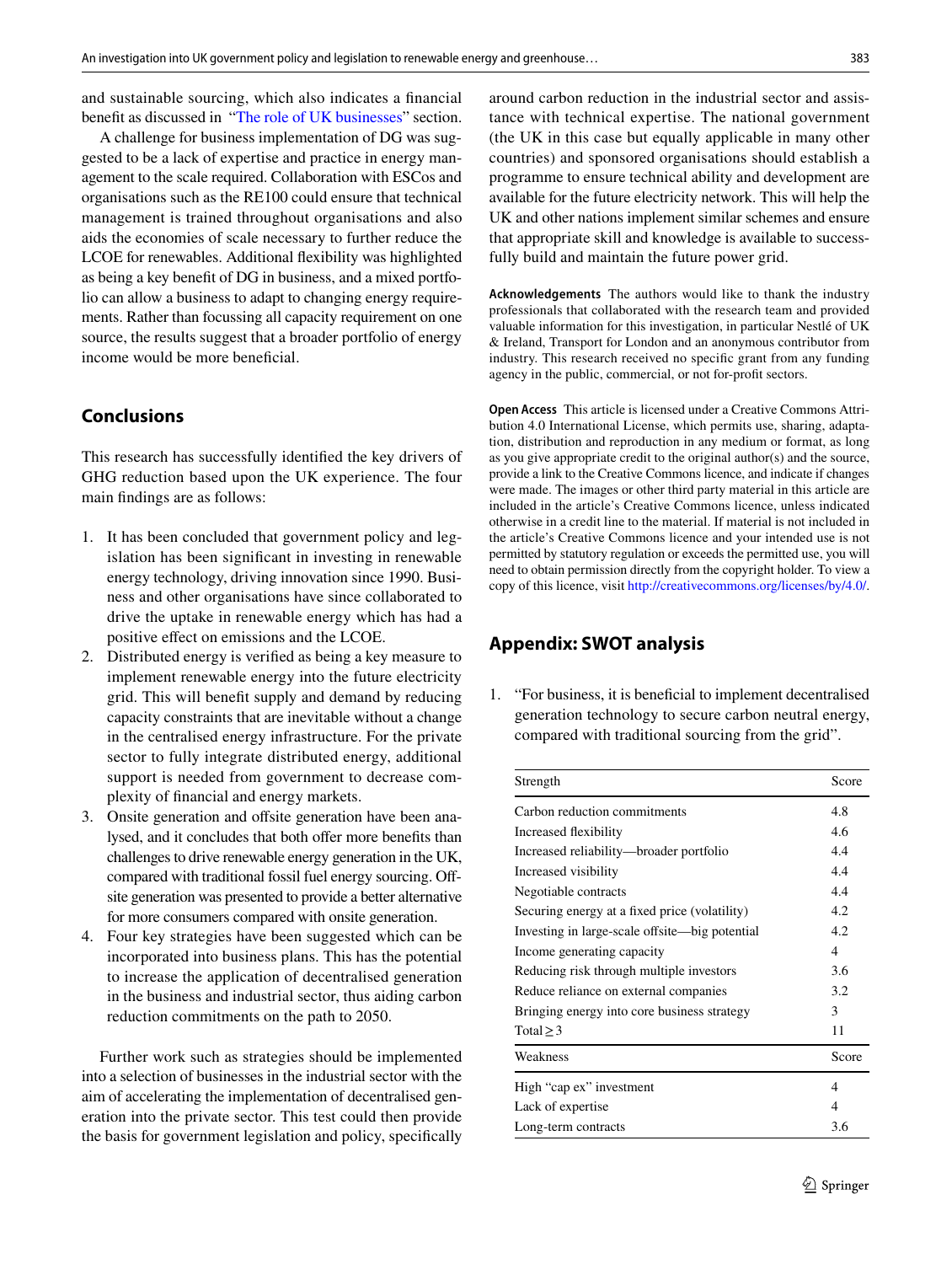and sustainable sourcing, which also indicates a fnancial beneft as discussed in "[The role of UK businesses"](#page-8-2) section.

A challenge for business implementation of DG was suggested to be a lack of expertise and practice in energy management to the scale required. Collaboration with ESCos and organisations such as the RE100 could ensure that technical management is trained throughout organisations and also aids the economies of scale necessary to further reduce the LCOE for renewables. Additional fexibility was highlighted as being a key beneft of DG in business, and a mixed portfolio can allow a business to adapt to changing energy requirements. Rather than focussing all capacity requirement on one source, the results suggest that a broader portfolio of energy income would be more beneficial.

### **Conclusions**

This research has successfully identifed the key drivers of GHG reduction based upon the UK experience. The four main fndings are as follows:

- 1. It has been concluded that government policy and legislation has been signifcant in investing in renewable energy technology, driving innovation since 1990. Business and other organisations have since collaborated to drive the uptake in renewable energy which has had a positive efect on emissions and the LCOE.
- 2. Distributed energy is verifed as being a key measure to implement renewable energy into the future electricity grid. This will beneft supply and demand by reducing capacity constraints that are inevitable without a change in the centralised energy infrastructure. For the private sector to fully integrate distributed energy, additional support is needed from government to decrease complexity of fnancial and energy markets.
- 3. Onsite generation and offsite generation have been analysed, and it concludes that both offer more benefits than challenges to drive renewable energy generation in the UK, compared with traditional fossil fuel energy sourcing. Ofsite generation was presented to provide a better alternative for more consumers compared with onsite generation.
- 4. Four key strategies have been suggested which can be incorporated into business plans. This has the potential to increase the application of decentralised generation in the business and industrial sector, thus aiding carbon reduction commitments on the path to 2050.

Further work such as strategies should be implemented into a selection of businesses in the industrial sector with the aim of accelerating the implementation of decentralised generation into the private sector. This test could then provide the basis for government legislation and policy, specifcally

around carbon reduction in the industrial sector and assistance with technical expertise. The national government (the UK in this case but equally applicable in many other countries) and sponsored organisations should establish a programme to ensure technical ability and development are available for the future electricity network. This will help the UK and other nations implement similar schemes and ensure that appropriate skill and knowledge is available to successfully build and maintain the future power grid.

**Acknowledgements** The authors would like to thank the industry professionals that collaborated with the research team and provided valuable information for this investigation, in particular Nestlé of UK & Ireland, Transport for London and an anonymous contributor from industry. This research received no specifc grant from any funding agency in the public, commercial, or not for-proft sectors.

**Open Access** This article is licensed under a Creative Commons Attribution 4.0 International License, which permits use, sharing, adaptation, distribution and reproduction in any medium or format, as long as you give appropriate credit to the original author(s) and the source, provide a link to the Creative Commons licence, and indicate if changes were made. The images or other third party material in this article are included in the article's Creative Commons licence, unless indicated otherwise in a credit line to the material. If material is not included in the article's Creative Commons licence and your intended use is not permitted by statutory regulation or exceeds the permitted use, you will need to obtain permission directly from the copyright holder. To view a copy of this licence, visit<http://creativecommons.org/licenses/by/4.0/>.

#### <span id="page-12-0"></span>**Appendix: SWOT analysis**

1. "For business, it is benefcial to implement decentralised generation technology to secure carbon neutral energy, compared with traditional sourcing from the grid".

| Strength                                       | Score |
|------------------------------------------------|-------|
| Carbon reduction commitments                   | 4.8   |
| Increased flexibility                          | 4.6   |
| Increased reliability—broader portfolio        | 4.4   |
| Increased visibility                           | 4.4   |
| Negotiable contracts                           | 4.4   |
| Securing energy at a fixed price (volatility)  | 4.2   |
| Investing in large-scale offsite—big potential | 4.2   |
| Income generating capacity                     | 4     |
| Reducing risk through multiple investors       | 3.6   |
| Reduce reliance on external companies          | 3.2   |
| Bringing energy into core business strategy    | 3     |
| Total $\geq$ 3                                 | 11    |
| Weakness                                       | Score |
| High "cap ex" investment                       | 4     |
| Lack of expertise                              |       |
| Long-term contracts                            | 3.6   |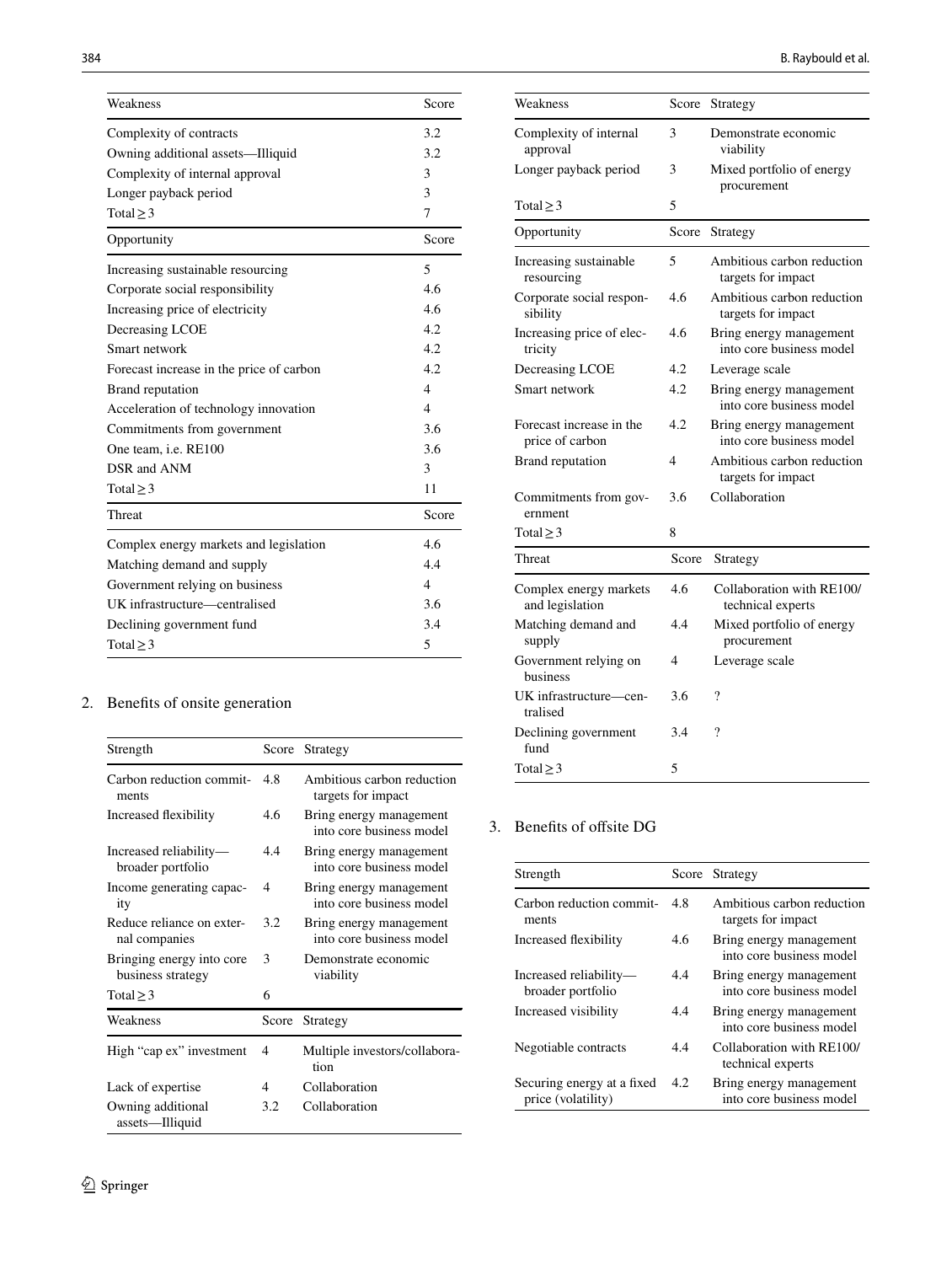| Weakness                                 | Score                   |
|------------------------------------------|-------------------------|
| Complexity of contracts                  | 3.2                     |
| Owning additional assets—Illiquid        | 3.2                     |
| Complexity of internal approval          | 3                       |
| Longer payback period                    | $\mathbf{3}$            |
| Total $\geq$ 3                           | 7                       |
| Opportunity                              | Score                   |
| Increasing sustainable resourcing        | 5                       |
| Corporate social responsibility          | 4.6                     |
| Increasing price of electricity          | 4.6                     |
| Decreasing LCOE                          | 4.2                     |
| Smart network                            | 4.2                     |
| Forecast increase in the price of carbon | 4.2                     |
| Brand reputation                         | $\overline{\mathbf{A}}$ |
| Acceleration of technology innovation    | $\overline{4}$          |
| Commitments from government              | 3.6                     |
| One team, <i>i.e.</i> RE100              | 3.6                     |
| DSR and ANM                              | 3                       |
| Total $\geq$ 3                           | 11                      |
| Threat                                   | Score                   |
| Complex energy markets and legislation   | 4.6                     |
| Matching demand and supply               | 4.4                     |
| Government relying on business           | $\overline{4}$          |
| UK infrastructure—centralised            | 3.6                     |
| Declining government fund                | 3.4                     |
| Total $\geq$ 3                           | 5                       |
|                                          |                         |

## 2. Benefts of onsite generation

| Strength                                       | Score | Strategy                                            |
|------------------------------------------------|-------|-----------------------------------------------------|
| Carbon reduction commit-<br>ments              | 4.8   | Ambitious carbon reduction<br>targets for impact    |
| Increased flexibility                          | 4.6   | Bring energy management<br>into core business model |
| Increased reliability-<br>broader portfolio    | 4.4   | Bring energy management<br>into core business model |
| Income generating capac-<br>ity                | 4     | Bring energy management<br>into core business model |
| Reduce reliance on exter-<br>nal companies     | 3.2   | Bring energy management<br>into core business model |
| Bringing energy into core<br>business strategy | 3     | Demonstrate economic<br>viability                   |
| Total $\geq$ 3                                 | 6     |                                                     |
| Weakness                                       | Score | Strategy                                            |
| High "cap ex" investment                       | 4     | Multiple investors/collabora-<br>tion               |
| Lack of expertise                              | 4     | Collaboration                                       |
| Owning additional<br>assets-Illiquid           | 3.2   | Collaboration                                       |

| Weakness                                    | Score          | Strategy                                            |
|---------------------------------------------|----------------|-----------------------------------------------------|
| Complexity of internal<br>approval          | 3              | Demonstrate economic<br>viability                   |
| Longer payback period                       | 3              | Mixed portfolio of energy<br>procurement            |
| Total $\geq$ 3                              | 5              |                                                     |
| Opportunity                                 | Score          | Strategy                                            |
| Increasing sustainable<br>resourcing        | 5              | Ambitious carbon reduction<br>targets for impact    |
| Corporate social respon-<br>sibility        | 4.6            | Ambitious carbon reduction<br>targets for impact    |
| Increasing price of elec-<br>tricity        | 4.6            | Bring energy management<br>into core business model |
| Decreasing LCOE                             | 4.2            | Leverage scale                                      |
| Smart network                               | 4.2            | Bring energy management<br>into core business model |
| Forecast increase in the<br>price of carbon | 4.2            | Bring energy management<br>into core business model |
| Brand reputation                            | $\overline{4}$ | Ambitious carbon reduction<br>targets for impact    |
| Commitments from gov-<br>ernment            | 3.6            | Collaboration                                       |
| Total $\geq$ 3                              | 8              |                                                     |
| Threat                                      | Score          | Strategy                                            |
| Complex energy markets<br>and legislation   | 4.6            | Collaboration with RE100/<br>technical experts      |
| Matching demand and<br>supply               | 4.4            | Mixed portfolio of energy<br>procurement            |
| Government relying on<br>business           | 4              | Leverage scale                                      |
| UK infrastructure-cen-<br>tralised          | 3.6            | ?                                                   |
| Declining government<br>fund                | 3.4            | ?                                                   |
| Total $\geq$ 3                              | 5              |                                                     |

### 3. Benefits of offsite DG

| Strength                                         |     | Score Strategy                                      |
|--------------------------------------------------|-----|-----------------------------------------------------|
| Carbon reduction commit-<br>ments                | 48  | Ambitious carbon reduction<br>targets for impact    |
| Increased flexibility                            | 4.6 | Bring energy management<br>into core business model |
| Increased reliability-<br>broader portfolio      | 4.4 | Bring energy management<br>into core business model |
| Increased visibility                             | 44  | Bring energy management<br>into core business model |
| Negotiable contracts                             | 44  | Collaboration with RE100/<br>technical experts      |
| Securing energy at a fixed<br>price (volatility) | 4.2 | Bring energy management<br>into core business model |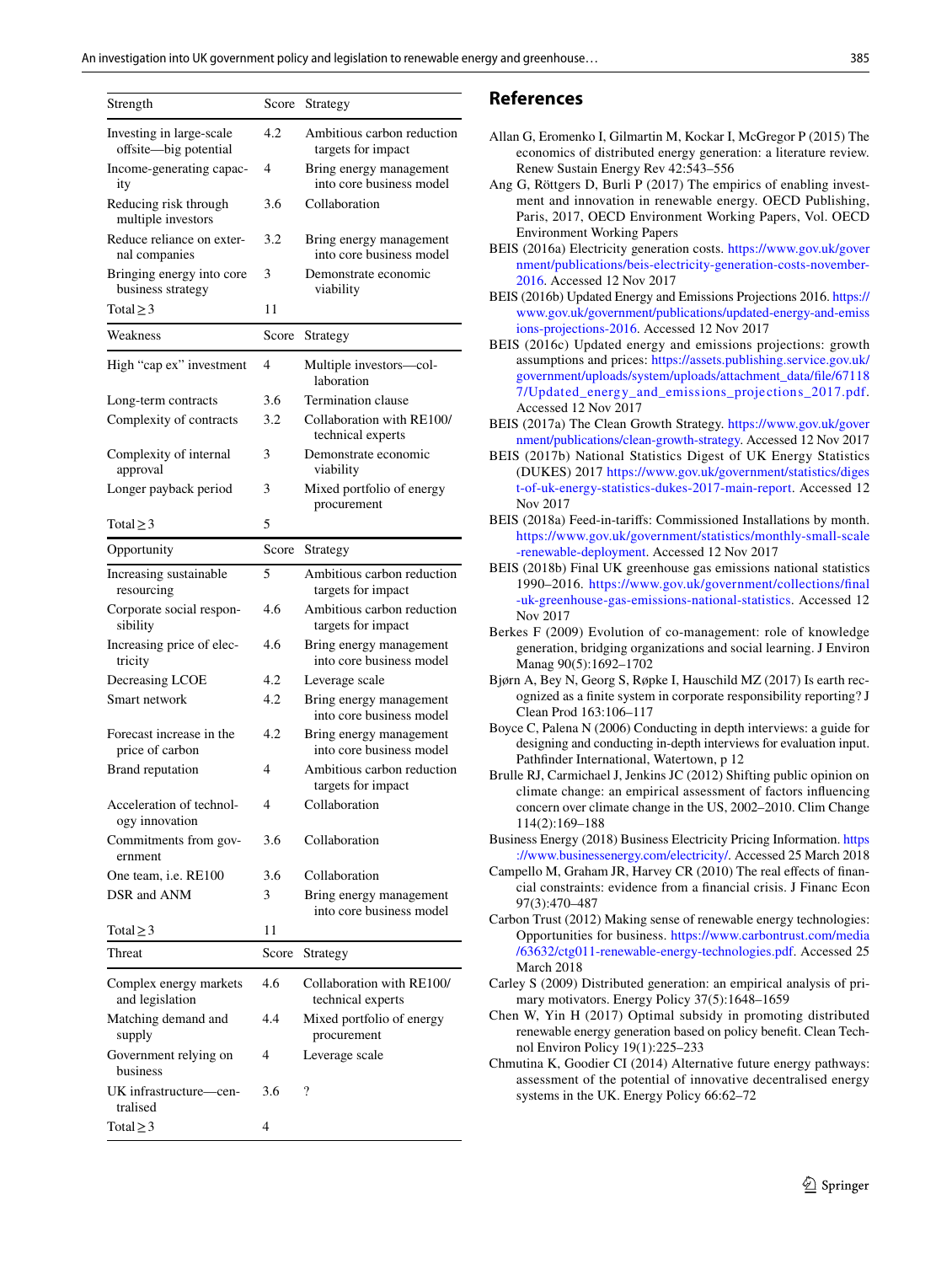| Strength                                          | Score | Strategy                                            |
|---------------------------------------------------|-------|-----------------------------------------------------|
| Investing in large-scale<br>offsite-big potential | 4.2   | Ambitious carbon reduction<br>targets for impact    |
| Income-generating capac-<br>ity                   | 4     | Bring energy management<br>into core business model |
| Reducing risk through<br>multiple investors       | 3.6   | Collaboration                                       |
| Reduce reliance on exter-<br>nal companies        | 3.2   | Bring energy management<br>into core business model |
| Bringing energy into core<br>business strategy    | 3     | Demonstrate economic<br>viability                   |
| Total $\geq$ 3                                    | 11    |                                                     |
| Weakness                                          | Score | Strategy                                            |
| High "cap ex" investment                          | 4     | Multiple investors-col-<br>laboration               |
| Long-term contracts                               | 3.6   | Termination clause                                  |
| Complexity of contracts                           | 3.2   | Collaboration with RE100/<br>technical experts      |
| Complexity of internal<br>approval                | 3     | Demonstrate economic<br>viability                   |
| Longer payback period                             | 3     | Mixed portfolio of energy<br>procurement            |
| Total $\geq$ 3                                    | 5     |                                                     |
| Opportunity                                       | Score | Strategy                                            |
| Increasing sustainable<br>resourcing              | 5     | Ambitious carbon reduction<br>targets for impact    |
| Corporate social respon-<br>sibility              | 4.6   | Ambitious carbon reduction<br>targets for impact    |
| Increasing price of elec-<br>tricity              | 4.6   | Bring energy management<br>into core business model |
| Decreasing LCOE                                   | 4.2   | Leverage scale                                      |
| Smart network                                     | 4.2   | Bring energy management<br>into core business model |
| Forecast increase in the<br>price of carbon       | 4.2   | Bring energy management<br>into core business model |
| Brand reputation                                  | 4     | Ambitious carbon reduction<br>targets for impact    |
| Acceleration of technol-<br>ogy innovation        | 4     | Collaboration                                       |
| Commitments from gov-<br>ernment                  | 3.6   | Collaboration                                       |
| One team, <i>i.e.</i> RE100                       | 3.6   | Collaboration                                       |
| DSR and ANM                                       | 3     | Bring energy management<br>into core business model |
| Total $\geq$ 3                                    | 11    |                                                     |
| Threat                                            | Score | Strategy                                            |
| Complex energy markets<br>and legislation         | 4.6   | Collaboration with RE100/<br>technical experts      |
| Matching demand and<br>supply                     | 4.4   | Mixed portfolio of energy<br>procurement            |
| Government relying on<br>business                 | 4     | Leverage scale                                      |
| UK infrastructure-cen-<br>tralised                | 3.6   | ?                                                   |
| Total $\geq$ 3                                    | 4     |                                                     |

#### **References**

- <span id="page-14-15"></span>Allan G, Eromenko I, Gilmartin M, Kockar I, McGregor P (2015) The economics of distributed energy generation: a literature review. Renew Sustain Energy Rev 42:543–556
- <span id="page-14-14"></span>Ang G, Röttgers D, Burli P (2017) The empirics of enabling investment and innovation in renewable energy. OECD Publishing, Paris, 2017, OECD Environment Working Papers, Vol. OECD Environment Working Papers
- <span id="page-14-1"></span>BEIS (2016a) Electricity generation costs. [https://www.gov.uk/gover](https://www.gov.uk/government/publications/beis-electricity-generation-costs-november-2016) [nment/publications/beis-electricity-generation-costs-november-](https://www.gov.uk/government/publications/beis-electricity-generation-costs-november-2016)[2016](https://www.gov.uk/government/publications/beis-electricity-generation-costs-november-2016). Accessed 12 Nov 2017
- <span id="page-14-2"></span>BEIS (2016b) Updated Energy and Emissions Projections 2016. [https://](https://www.gov.uk/government/publications/updated-energy-and-emissions-projections-2016) [www.gov.uk/government/publications/updated-energy-and-emiss](https://www.gov.uk/government/publications/updated-energy-and-emissions-projections-2016) [ions-projections-2016.](https://www.gov.uk/government/publications/updated-energy-and-emissions-projections-2016) Accessed 12 Nov 2017
- <span id="page-14-17"></span>BEIS (2016c) Updated energy and emissions projections: growth assumptions and prices: [https://assets.publishing.service.gov.uk/](https://assets.publishing.service.gov.uk/government/uploads/system/uploads/attachment_data/file/671187/Updated_energy_and_emissions_projections_2017.pdf) [government/uploads/system/uploads/attachment\\_data/fle/67118](https://assets.publishing.service.gov.uk/government/uploads/system/uploads/attachment_data/file/671187/Updated_energy_and_emissions_projections_2017.pdf) [7/Updated\\_energy\\_and\\_emissions\\_projections\\_2017.pdf](https://assets.publishing.service.gov.uk/government/uploads/system/uploads/attachment_data/file/671187/Updated_energy_and_emissions_projections_2017.pdf). Accessed 12 Nov 2017
- <span id="page-14-0"></span>BEIS (2017a) The Clean Growth Strategy. [https://www.gov.uk/gover](https://www.gov.uk/government/publications/clean-growth-strategy) [nment/publications/clean-growth-strategy](https://www.gov.uk/government/publications/clean-growth-strategy). Accessed 12 Nov 2017
- <span id="page-14-4"></span>BEIS (2017b) National Statistics Digest of UK Energy Statistics (DUKES) 2017 [https://www.gov.uk/government/statistics/diges](https://www.gov.uk/government/statistics/digest-of-uk-energy-statistics-dukes-2017-main-report) [t-of-uk-energy-statistics-dukes-2017-main-report](https://www.gov.uk/government/statistics/digest-of-uk-energy-statistics-dukes-2017-main-report). Accessed 12 Nov 2017
- <span id="page-14-3"></span>BEIS (2018a) Feed-in-tarifs: Commissioned Installations by month. [https://www.gov.uk/government/statistics/monthly-small-scale](https://www.gov.uk/government/statistics/monthly-small-scale-renewable-deployment) [-renewable-deployment](https://www.gov.uk/government/statistics/monthly-small-scale-renewable-deployment). Accessed 12 Nov 2017
- <span id="page-14-13"></span>BEIS (2018b) Final UK greenhouse gas emissions national statistics 1990–2016. [https://www.gov.uk/government/collections/fnal](https://www.gov.uk/government/collections/final-uk-greenhouse-gas-emissions-national-statistics) [-uk-greenhouse-gas-emissions-national-statistics](https://www.gov.uk/government/collections/final-uk-greenhouse-gas-emissions-national-statistics). Accessed 12 Nov 2017
- <span id="page-14-9"></span>Berkes F (2009) Evolution of co-management: role of knowledge generation, bridging organizations and social learning. J Environ Manag 90(5):1692–1702
- <span id="page-14-16"></span>Bjørn A, Bey N, Georg S, Røpke I, Hauschild MZ (2017) Is earth recognized as a fnite system in corporate responsibility reporting? J Clean Prod 163:106–117
- <span id="page-14-11"></span>Boyce C, Palena N (2006) Conducting in depth interviews: a guide for designing and conducting in-depth interviews for evaluation input. Pathfnder International, Watertown, p 12
- <span id="page-14-6"></span>Brulle RJ, Carmichael J, Jenkins JC (2012) Shifting public opinion on climate change: an empirical assessment of factors infuencing concern over climate change in the US, 2002–2010. Clim Change 114(2):169–188
- <span id="page-14-5"></span>Business Energy (2018) Business Electricity Pricing Information. [https](https://www.businessenergy.com/electricity/) [://www.businessenergy.com/electricity/.](https://www.businessenergy.com/electricity/) Accessed 25 March 2018
- <span id="page-14-12"></span>Campello M, Graham JR, Harvey CR (2010) The real efects of fnancial constraints: evidence from a fnancial crisis. J Financ Econ 97(3):470–487
- <span id="page-14-18"></span>Carbon Trust (2012) Making sense of renewable energy technologies: Opportunities for business. [https://www.carbontrust.com/media](https://www.carbontrust.com/media/63632/ctg011-renewable-energy-technologies.pdf) [/63632/ctg011-renewable-energy-technologies.pdf](https://www.carbontrust.com/media/63632/ctg011-renewable-energy-technologies.pdf). Accessed 25 March 2018
- <span id="page-14-8"></span>Carley S (2009) Distributed generation: an empirical analysis of primary motivators. Energy Policy 37(5):1648–1659
- <span id="page-14-10"></span>Chen W, Yin H (2017) Optimal subsidy in promoting distributed renewable energy generation based on policy beneft. Clean Technol Environ Policy 19(1):225–233
- <span id="page-14-7"></span>Chmutina K, Goodier CI (2014) Alternative future energy pathways: assessment of the potential of innovative decentralised energy systems in the UK. Energy Policy 66:62–72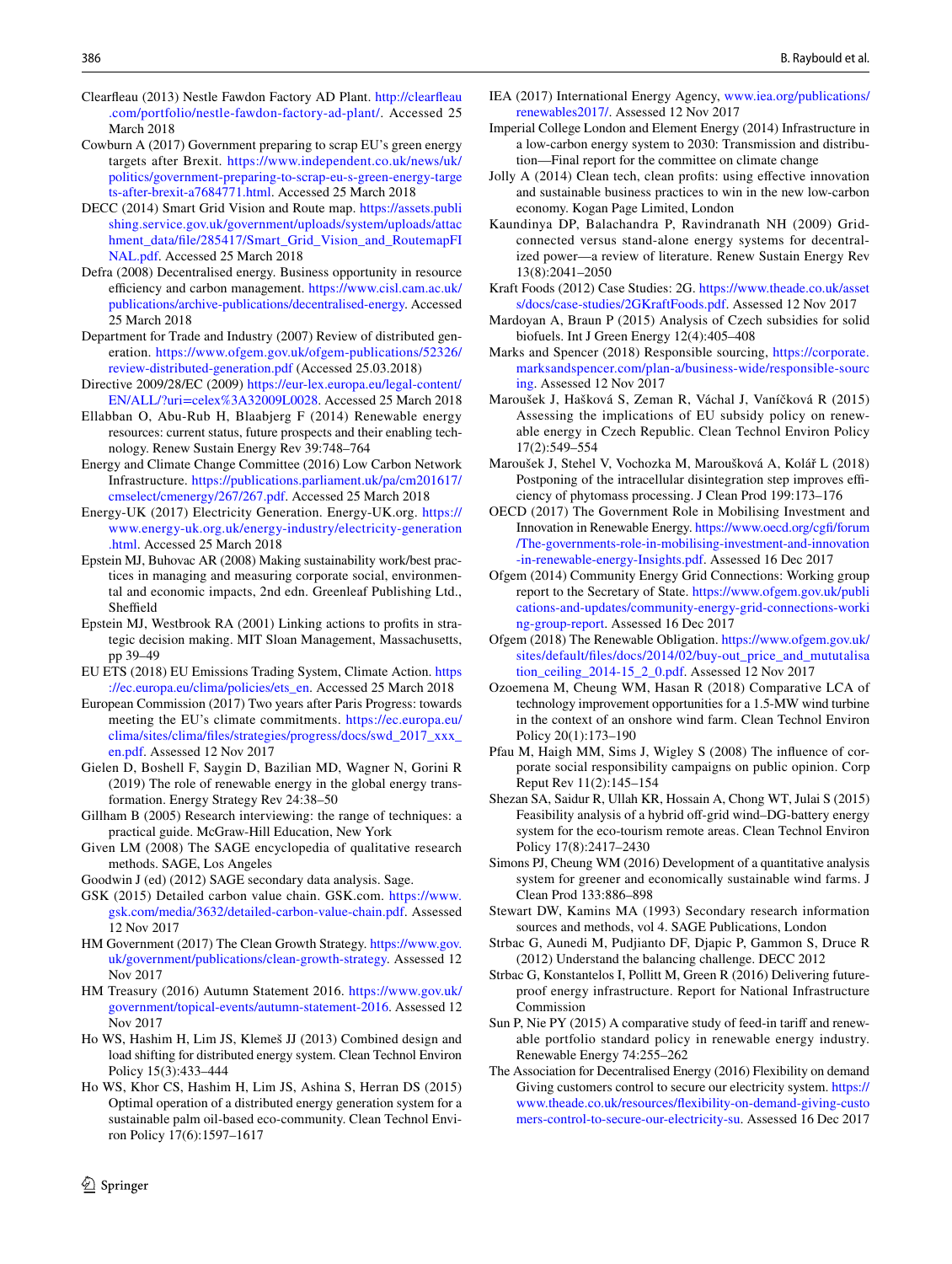- <span id="page-15-40"></span>Clearfeau (2013) Nestle Fawdon Factory AD Plant. [http://clearfeau](http://clearfleau.com/portfolio/nestle-fawdon-factory-ad-plant/) [.com/portfolio/nestle-fawdon-factory-ad-plant/.](http://clearfleau.com/portfolio/nestle-fawdon-factory-ad-plant/) Accessed 25 March 2018
- <span id="page-15-29"></span>Cowburn A (2017) Government preparing to scrap EU's green energy targets after Brexit. [https://www.independent.co.uk/news/uk/](https://www.independent.co.uk/news/uk/politics/government-preparing-to-scrap-eu-s-green-energy-targets-after-brexit-a7684771.html) [politics/government-preparing-to-scrap-eu-s-green-energy-targe](https://www.independent.co.uk/news/uk/politics/government-preparing-to-scrap-eu-s-green-energy-targets-after-brexit-a7684771.html) [ts-after-brexit-a7684771.html.](https://www.independent.co.uk/news/uk/politics/government-preparing-to-scrap-eu-s-green-energy-targets-after-brexit-a7684771.html) Accessed 25 March 2018
- <span id="page-15-18"></span>DECC (2014) Smart Grid Vision and Route map. [https://assets.publi](https://assets.publishing.service.gov.uk/government/uploads/system/uploads/attachment_data/file/285417/Smart_Grid_Vision_and_RoutemapFINAL.pdf) [shing.service.gov.uk/government/uploads/system/uploads/attac](https://assets.publishing.service.gov.uk/government/uploads/system/uploads/attachment_data/file/285417/Smart_Grid_Vision_and_RoutemapFINAL.pdf) [hment\\_data/fle/285417/Smart\\_Grid\\_Vision\\_and\\_RoutemapFI](https://assets.publishing.service.gov.uk/government/uploads/system/uploads/attachment_data/file/285417/Smart_Grid_Vision_and_RoutemapFINAL.pdf) [NAL.pdf](https://assets.publishing.service.gov.uk/government/uploads/system/uploads/attachment_data/file/285417/Smart_Grid_Vision_and_RoutemapFINAL.pdf). Accessed 25 March 2018
- <span id="page-15-42"></span>Defra (2008) Decentralised energy. Business opportunity in resource efficiency and carbon management. [https://www.cisl.cam.ac.uk/](https://www.cisl.cam.ac.uk/publications/archive-publications/decentralised-energy) [publications/archive-publications/decentralised-energy](https://www.cisl.cam.ac.uk/publications/archive-publications/decentralised-energy). Accessed 25 March 2018
- <span id="page-15-38"></span>Department for Trade and Industry (2007) Review of distributed generation. [https://www.ofgem.gov.uk/ofgem-publications/52326/](https://www.ofgem.gov.uk/ofgem-publications/52326/review-distributed-generation.pdf) [review-distributed-generation.pdf](https://www.ofgem.gov.uk/ofgem-publications/52326/review-distributed-generation.pdf) (Accessed 25.03.2018)
- <span id="page-15-9"></span>Directive 2009/28/EC (2009) [https://eur-lex.europa.eu/legal-content/](https://eur-lex.europa.eu/legal-content/EN/ALL/%3furi%3dcelex%253A32009L0028) [EN/ALL/?uri=celex%3A32009L0028.](https://eur-lex.europa.eu/legal-content/EN/ALL/%3furi%3dcelex%253A32009L0028) Accessed 25 March 2018
- <span id="page-15-0"></span>Ellabban O, Abu-Rub H, Blaabjerg F (2014) Renewable energy resources: current status, future prospects and their enabling technology. Renew Sustain Energy Rev 39:748–764
- <span id="page-15-19"></span>Energy and Climate Change Committee (2016) Low Carbon Network Infrastructure. [https://publications.parliament.uk/pa/cm201617/](https://publications.parliament.uk/pa/cm201617/cmselect/cmenergy/267/267.pdf) [cmselect/cmenergy/267/267.pdf](https://publications.parliament.uk/pa/cm201617/cmselect/cmenergy/267/267.pdf). Accessed 25 March 2018
- <span id="page-15-6"></span>Energy-UK (2017) Electricity Generation. Energy-UK.org. [https://](https://www.energy-uk.org.uk/energy-industry/electricity-generation.html) [www.energy-uk.org.uk/energy-industry/electricity-generation](https://www.energy-uk.org.uk/energy-industry/electricity-generation.html) [.html.](https://www.energy-uk.org.uk/energy-industry/electricity-generation.html) Accessed 25 March 2018
- <span id="page-15-14"></span>Epstein MJ, Buhovac AR (2008) Making sustainability work/best practices in managing and measuring corporate social, environmental and economic impacts, 2nd edn. Greenleaf Publishing Ltd., Sheffield
- <span id="page-15-32"></span>Epstein MJ, Westbrook RA (2001) Linking actions to profts in strategic decision making. MIT Sloan Management, Massachusetts, pp 39–49
- <span id="page-15-10"></span>EU ETS (2018) EU Emissions Trading System, Climate Action. [https](https://ec.europa.eu/clima/policies/ets_en) [://ec.europa.eu/clima/policies/ets\\_en.](https://ec.europa.eu/clima/policies/ets_en) Accessed 25 March 2018
- <span id="page-15-11"></span>European Commission (2017) Two years after Paris Progress: towards meeting the EU's climate commitments. [https://ec.europa.eu/](https://ec.europa.eu/clima/sites/clima/files/strategies/progress/docs/swd_2017_xxx_en.pdf) [clima/sites/clima/fles/strategies/progress/docs/swd\\_2017\\_xxx\\_](https://ec.europa.eu/clima/sites/clima/files/strategies/progress/docs/swd_2017_xxx_en.pdf) [en.pdf.](https://ec.europa.eu/clima/sites/clima/files/strategies/progress/docs/swd_2017_xxx_en.pdf) Assessed 12 Nov 2017
- <span id="page-15-1"></span>Gielen D, Boshell F, Saygin D, Bazilian MD, Wagner N, Gorini R (2019) The role of renewable energy in the global energy transformation. Energy Strategy Rev 24:38–50
- <span id="page-15-24"></span>Gillham B (2005) Research interviewing: the range of techniques: a practical guide. McGraw-Hill Education, New York
- <span id="page-15-25"></span>Given LM (2008) The SAGE encyclopedia of qualitative research methods. SAGE, Los Angeles
- <span id="page-15-26"></span>Goodwin J (ed) (2012) SAGE secondary data analysis. Sage.
- <span id="page-15-35"></span>GSK (2015) Detailed carbon value chain. GSK.com. [https://www.](https://www.gsk.com/media/3632/detailed-carbon-value-chain.pdf) [gsk.com/media/3632/detailed-carbon-value-chain.pdf.](https://www.gsk.com/media/3632/detailed-carbon-value-chain.pdf) Assessed 12 Nov 2017
- <span id="page-15-36"></span>HM Government (2017) The Clean Growth Strategy. [https://www.gov.](https://www.gov.uk/government/publications/clean-growth-strategy) [uk/government/publications/clean-growth-strategy](https://www.gov.uk/government/publications/clean-growth-strategy). Assessed 12 Nov 2017
- <span id="page-15-31"></span>HM Treasury (2016) Autumn Statement 2016. [https://www.gov.uk/](https://www.gov.uk/government/topical-events/autumn-statement-2016) [government/topical-events/autumn-statement-2016](https://www.gov.uk/government/topical-events/autumn-statement-2016). Assessed 12 Nov 2017
- <span id="page-15-20"></span>Ho WS, Hashim H, Lim JS, Klemeš JJ (2013) Combined design and load shifting for distributed energy system. Clean Technol Environ Policy 15(3):433–444
- <span id="page-15-16"></span>Ho WS, Khor CS, Hashim H, Lim JS, Ashina S, Herran DS (2015) Optimal operation of a distributed energy generation system for a sustainable palm oil-based eco-community. Clean Technol Environ Policy 17(6):1597–1617
- <span id="page-15-5"></span>IEA (2017) International Energy Agency, [www.iea.org/publications/](http://www.iea.org/publications/renewables2017/) [renewables2017/.](http://www.iea.org/publications/renewables2017/) Assessed 12 Nov 2017
- <span id="page-15-22"></span>Imperial College London and Element Energy (2014) Infrastructure in a low-carbon energy system to 2030: Transmission and distribution—Final report for the committee on climate change
- <span id="page-15-13"></span>Jolly A (2014) Clean tech, clean profts: using efective innovation and sustainable business practices to win in the new low-carbon economy. Kogan Page Limited, London
- <span id="page-15-2"></span>Kaundinya DP, Balachandra P, Ravindranath NH (2009) Gridconnected versus stand-alone energy systems for decentralized power—a review of literature. Renew Sustain Energy Rev 13(8):2041–2050
- <span id="page-15-33"></span>Kraft Foods (2012) Case Studies: 2G. [https://www.theade.co.uk/asset](https://www.theade.co.uk/assets/docs/case-studies/2GKraftFoods.pdf) [s/docs/case-studies/2GKraftFoods.pdf](https://www.theade.co.uk/assets/docs/case-studies/2GKraftFoods.pdf). Assessed 12 Nov 2017
- <span id="page-15-7"></span>Mardoyan A, Braun P (2015) Analysis of Czech subsidies for solid biofuels. Int J Green Energy 12(4):405–408
- <span id="page-15-34"></span>Marks and Spencer (2018) Responsible sourcing, [https://corporate.](https://corporate.marksandspencer.com/plan-a/business-wide/responsible-sourcing) [marksandspencer.com/plan-a/business-wide/responsible-sourc](https://corporate.marksandspencer.com/plan-a/business-wide/responsible-sourcing) [ing](https://corporate.marksandspencer.com/plan-a/business-wide/responsible-sourcing). Assessed 12 Nov 2017
- <span id="page-15-8"></span>Maroušek J, Hašková S, Zeman R, Váchal J, Vaníčková R (2015) Assessing the implications of EU subsidy policy on renewable energy in Czech Republic. Clean Technol Environ Policy 17(2):549–554
- <span id="page-15-17"></span>Maroušek J, Stehel V, Vochozka M, Maroušková A, Kolář L (2018) Postponing of the intracellular disintegration step improves efficiency of phytomass processing. J Clean Prod 199:173–176
- <span id="page-15-30"></span>OECD (2017) The Government Role in Mobilising Investment and Innovation in Renewable Energy. [https://www.oecd.org/cgf/forum](https://www.oecd.org/cgfi/forum/The-governments-role-in-mobilising-investment-and-innovation-in-renewable-energy-Insights.pdf) [/The-governments-role-in-mobilising-investment-and-innovation](https://www.oecd.org/cgfi/forum/The-governments-role-in-mobilising-investment-and-innovation-in-renewable-energy-Insights.pdf) [-in-renewable-energy-Insights.pdf](https://www.oecd.org/cgfi/forum/The-governments-role-in-mobilising-investment-and-innovation-in-renewable-energy-Insights.pdf). Assessed 16 Dec 2017
- <span id="page-15-41"></span>Ofgem (2014) Community Energy Grid Connections: Working group report to the Secretary of State. [https://www.ofgem.gov.uk/publi](https://www.ofgem.gov.uk/publications-and-updates/community-energy-grid-connections-working-group-report) [cations-and-updates/community-energy-grid-connections-worki](https://www.ofgem.gov.uk/publications-and-updates/community-energy-grid-connections-working-group-report) [ng-group-report](https://www.ofgem.gov.uk/publications-and-updates/community-energy-grid-connections-working-group-report). Assessed 16 Dec 2017
- <span id="page-15-27"></span>Ofgem (2018) The Renewable Obligation. [https://www.ofgem.gov.uk/](https://www.ofgem.gov.uk/sites/default/files/docs/2014/02/buy-out_price_and_mututalisation_ceiling_2014-15_2_0.pdf) [sites/default/fles/docs/2014/02/buy-out\\_price\\_and\\_mututalisa](https://www.ofgem.gov.uk/sites/default/files/docs/2014/02/buy-out_price_and_mututalisation_ceiling_2014-15_2_0.pdf) [tion\\_ceiling\\_2014-15\\_2\\_0.pdf.](https://www.ofgem.gov.uk/sites/default/files/docs/2014/02/buy-out_price_and_mututalisation_ceiling_2014-15_2_0.pdf) Assessed 12 Nov 2017
- <span id="page-15-4"></span>Ozoemena M, Cheung WM, Hasan R (2018) Comparative LCA of technology improvement opportunities for a 1.5-MW wind turbine in the context of an onshore wind farm. Clean Technol Environ Policy 20(1):173–190
- <span id="page-15-12"></span>Pfau M, Haigh MM, Sims J, Wigley S (2008) The infuence of corporate social responsibility campaigns on public opinion. Corp Reput Rev 11(2):145–154
- <span id="page-15-37"></span>Shezan SA, Saidur R, Ullah KR, Hossain A, Chong WT, Julai S (2015) Feasibility analysis of a hybrid off-grid wind–DG-battery energy system for the eco-tourism remote areas. Clean Technol Environ Policy 17(8):2417–2430
- <span id="page-15-3"></span>Simons PJ, Cheung WM (2016) Development of a quantitative analysis system for greener and economically sustainable wind farms. J Clean Prod 133:886–898
- <span id="page-15-23"></span>Stewart DW, Kamins MA (1993) Secondary research information sources and methods, vol 4. SAGE Publications, London
- <span id="page-15-21"></span>Strbac G, Aunedi M, Pudjianto DF, Djapic P, Gammon S, Druce R (2012) Understand the balancing challenge. DECC 2012
- <span id="page-15-15"></span>Strbac G, Konstantelos I, Pollitt M, Green R (2016) Delivering futureproof energy infrastructure. Report for National Infrastructure Commission
- <span id="page-15-28"></span>Sun P, Nie PY (2015) A comparative study of feed-in tarif and renewable portfolio standard policy in renewable energy industry. Renewable Energy 74:255–262
- <span id="page-15-39"></span>The Association for Decentralised Energy (2016) Flexibility on demand Giving customers control to secure our electricity system. [https://](https://www.theade.co.uk/resources/flexibility-on-demand-giving-customers-control-to-secure-our-electricity-su) [www.theade.co.uk/resources/fexibility-on-demand-giving-custo](https://www.theade.co.uk/resources/flexibility-on-demand-giving-customers-control-to-secure-our-electricity-su) [mers-control-to-secure-our-electricity-su](https://www.theade.co.uk/resources/flexibility-on-demand-giving-customers-control-to-secure-our-electricity-su). Assessed 16 Dec 2017